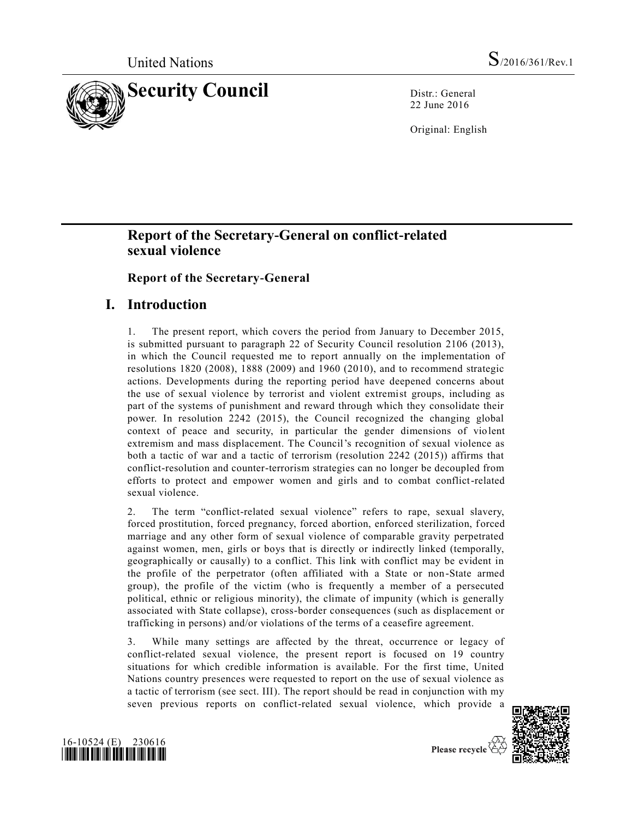

22 June 2016

Original: English

# **Report of the Secretary-General on conflict-related sexual violence**

## **Report of the Secretary-General**

# **I. Introduction**

1. The present report, which covers the period from January to December 2015, is submitted pursuant to paragraph 22 of Security Council resolution 2106 (2013), in which the Council requested me to report annually on the implementation of resolutions 1820 (2008), 1888 (2009) and 1960 (2010), and to recommend strategic actions. Developments during the reporting period have deepened concerns about the use of sexual violence by terrorist and violent extremist groups, including as part of the systems of punishment and reward through which they consolidate their power. In resolution 2242 (2015), the Council recognized the changing global context of peace and security, in particular the gender dimensions of violent extremism and mass displacement. The Council's recognition of sexual violence as both a tactic of war and a tactic of terrorism (resolution 2242 (2015)) affirms that conflict-resolution and counter-terrorism strategies can no longer be decoupled from efforts to protect and empower women and girls and to combat conflict-related sexual violence.

2. The term "conflict-related sexual violence" refers to rape, sexual slavery, forced prostitution, forced pregnancy, forced abortion, enforced sterilization, forced marriage and any other form of sexual violence of comparable gravity perpetrated against women, men, girls or boys that is directly or indirectly linked (temporally, geographically or causally) to a conflict. This link with conflict may be evident in the profile of the perpetrator (often affiliated with a State or non -State armed group), the profile of the victim (who is frequently a member of a persecuted political, ethnic or religious minority), the climate of impunity (which is generally associated with State collapse), cross-border consequences (such as displacement or trafficking in persons) and/or violations of the terms of a ceasefire agreement.

3. While many settings are affected by the threat, occurrence or legacy of conflict-related sexual violence, the present report is focused on 19 country situations for which credible information is available. For the first time, United Nations country presences were requested to report on the use of sexual violence as a tactic of terrorism (see sect. III). The report should be read in conjunction with my seven previous reports on conflict-related sexual violence, which provide a





Please recycle  $\mathfrak{C}$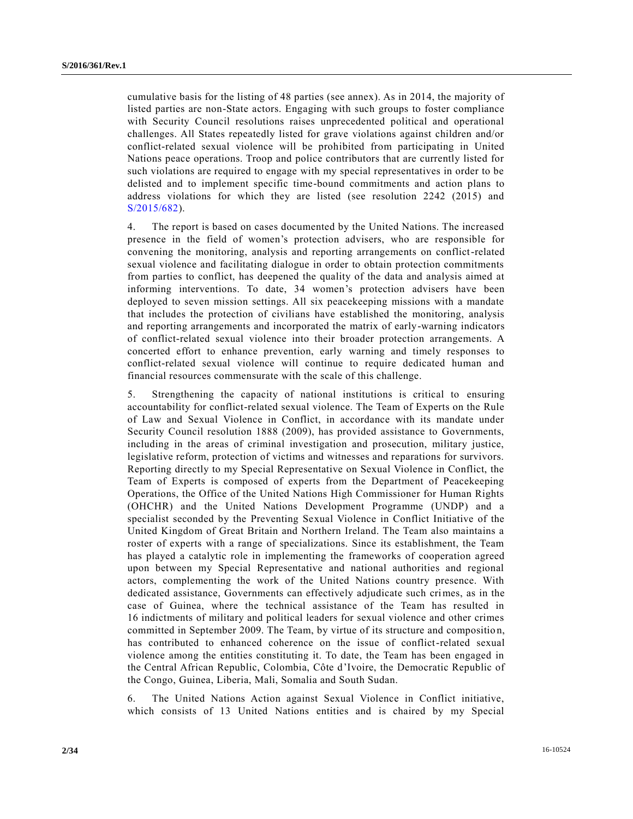cumulative basis for the listing of 48 parties (see annex). As in 2014, the majority of listed parties are non-State actors. Engaging with such groups to foster compliance with Security Council resolutions raises unprecedented political and operational challenges. All States repeatedly listed for grave violations against children and/or conflict-related sexual violence will be prohibited from participating in United Nations peace operations. Troop and police contributors that are currently listed for such violations are required to engage with my special representatives in order to be delisted and to implement specific time-bound commitments and action plans to address violations for which they are listed (see resolution 2242 (2015) and [S/2015/682\)](http://undocs.org/S/2015/682).

4. The report is based on cases documented by the United Nations. The increased presence in the field of women's protection advisers, who are responsible for convening the monitoring, analysis and reporting arrangements on conflict-related sexual violence and facilitating dialogue in order to obtain protection commitments from parties to conflict, has deepened the quality of the data and analysis aimed at informing interventions. To date, 34 women's protection advisers have been deployed to seven mission settings. All six peacekeeping missions with a mandate that includes the protection of civilians have established the monitoring, analysis and reporting arrangements and incorporated the matrix of early-warning indicators of conflict-related sexual violence into their broader protection arrangements. A concerted effort to enhance prevention, early warning and timely responses to conflict-related sexual violence will continue to require dedicated human and financial resources commensurate with the scale of this challenge.

5. Strengthening the capacity of national institutions is critical to ensuring accountability for conflict-related sexual violence. The Team of Experts on the Rule of Law and Sexual Violence in Conflict, in accordance with its mandate under Security Council resolution 1888 (2009), has provided assistance to Governments, including in the areas of criminal investigation and prosecution, military justice, legislative reform, protection of victims and witnesses and reparations for survivors. Reporting directly to my Special Representative on Sexual Violence in Conflict, the Team of Experts is composed of experts from the Department of Peacekeeping Operations, the Office of the United Nations High Commissioner for Human Rights (OHCHR) and the United Nations Development Programme (UNDP) and a specialist seconded by the Preventing Sexual Violence in Conflict Initiative of the United Kingdom of Great Britain and Northern Ireland. The Team also maintains a roster of experts with a range of specializations. Since its establishment, the Team has played a catalytic role in implementing the frameworks of cooperation agreed upon between my Special Representative and national authorities and regional actors, complementing the work of the United Nations country presence. With dedicated assistance, Governments can effectively adjudicate such crimes, as in the case of Guinea, where the technical assistance of the Team has resulted in 16 indictments of military and political leaders for sexual violence and other crimes committed in September 2009. The Team, by virtue of its structure and compositio n, has contributed to enhanced coherence on the issue of conflict-related sexual violence among the entities constituting it. To date, the Team has been engaged in the Central African Republic, Colombia, Côte d'Ivoire, the Democratic Republic of the Congo, Guinea, Liberia, Mali, Somalia and South Sudan.

6. The United Nations Action against Sexual Violence in Conflict initiative, which consists of 13 United Nations entities and is chaired by my Special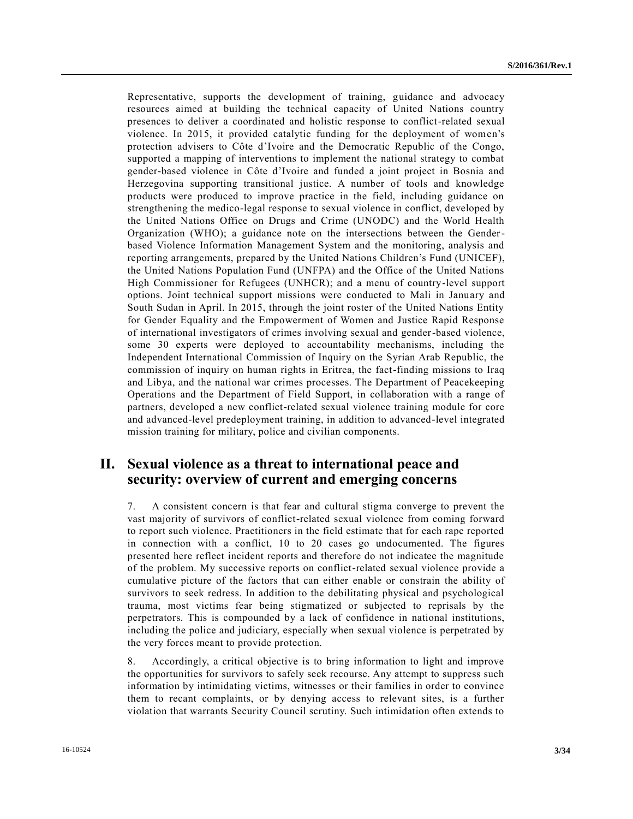Representative, supports the development of training, guidance and advocacy resources aimed at building the technical capacity of United Nations country presences to deliver a coordinated and holistic response to conflict-related sexual violence. In 2015, it provided catalytic funding for the deployment of women's protection advisers to Côte d'Ivoire and the Democratic Republic of the Congo, supported a mapping of interventions to implement the national strategy to combat gender-based violence in Côte d'Ivoire and funded a joint project in Bosnia and Herzegovina supporting transitional justice. A number of tools and knowledge products were produced to improve practice in the field, including guidance on strengthening the medico-legal response to sexual violence in conflict, developed by the United Nations Office on Drugs and Crime (UNODC) and the World Health Organization (WHO); a guidance note on the intersections between the Genderbased Violence Information Management System and the monitoring, analysis and reporting arrangements, prepared by the United Nations Children's Fund (UNICEF), the United Nations Population Fund (UNFPA) and the Office of the United Nations High Commissioner for Refugees (UNHCR); and a menu of country-level support options. Joint technical support missions were conducted to Mali in January and South Sudan in April. In 2015, through the joint roster of the United Nations Entity for Gender Equality and the Empowerment of Women and Justice Rapid Response of international investigators of crimes involving sexual and gender-based violence, some 30 experts were deployed to accountability mechanisms, including the Independent International Commission of Inquiry on the Syrian Arab Republic, the commission of inquiry on human rights in Eritrea, the fact-finding missions to Iraq and Libya, and the national war crimes processes. The Department of Peacekeeping Operations and the Department of Field Support, in collaboration with a range of partners, developed a new conflict-related sexual violence training module for core and advanced-level predeployment training, in addition to advanced-level integrated mission training for military, police and civilian components.

# **II. Sexual violence as a threat to international peace and security: overview of current and emerging concerns**

7. A consistent concern is that fear and cultural stigma converge to prevent the vast majority of survivors of conflict-related sexual violence from coming forward to report such violence. Practitioners in the field estimate that for each rape reported in connection with a conflict, 10 to 20 cases go undocumented. The figures presented here reflect incident reports and therefore do not indicatee the magnitude of the problem. My successive reports on conflict-related sexual violence provide a cumulative picture of the factors that can either enable or constrain the ability of survivors to seek redress. In addition to the debilitating physical and psychological trauma, most victims fear being stigmatized or subjected to reprisals by the perpetrators. This is compounded by a lack of confidence in national institutions, including the police and judiciary, especially when sexual violence is perpetrated by the very forces meant to provide protection.

8. Accordingly, a critical objective is to bring information to light and improve the opportunities for survivors to safely seek recourse. Any attempt to suppress such information by intimidating victims, witnesses or their families in order to convince them to recant complaints, or by denying access to relevant sites, is a further violation that warrants Security Council scrutiny. Such intimidation often extends to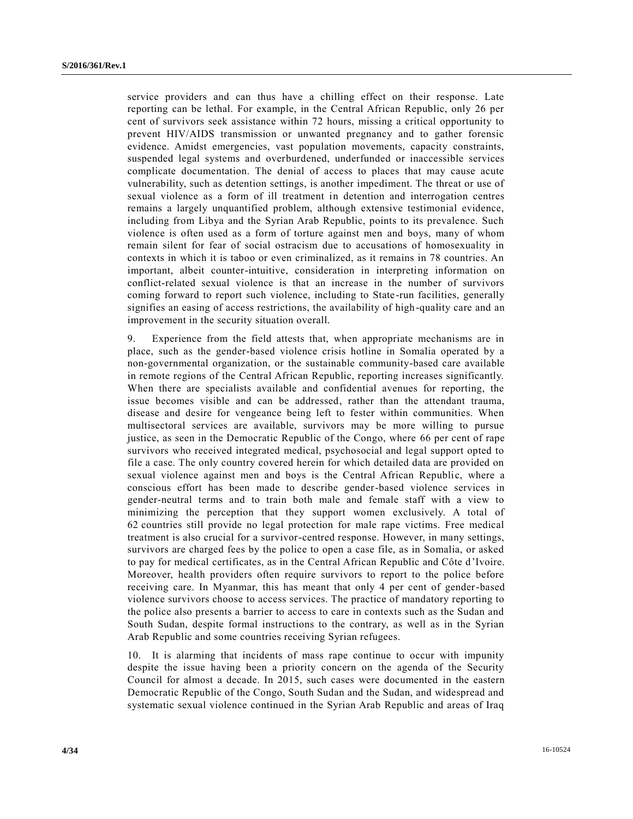service providers and can thus have a chilling effect on their response. Late reporting can be lethal. For example, in the Central African Republic, only 26 per cent of survivors seek assistance within 72 hours, missing a critical opportunity to prevent HIV/AIDS transmission or unwanted pregnancy and to gather forensic evidence. Amidst emergencies, vast population movements, capacity constraints, suspended legal systems and overburdened, underfunded or inaccessible services complicate documentation. The denial of access to places that may cause acute vulnerability, such as detention settings, is another impediment. The threat or use of sexual violence as a form of ill treatment in detention and interrogation centres remains a largely unquantified problem, although extensive testimonial evidence, including from Libya and the Syrian Arab Republic, points to its prevalence. Such violence is often used as a form of torture against men and boys, many of whom remain silent for fear of social ostracism due to accusations of homosexuality in contexts in which it is taboo or even criminalized, as it remains in 78 countries. An important, albeit counter-intuitive, consideration in interpreting information on conflict-related sexual violence is that an increase in the number of survivors coming forward to report such violence, including to State-run facilities, generally signifies an easing of access restrictions, the availability of high-quality care and an improvement in the security situation overall.

9. Experience from the field attests that, when appropriate mechanisms are in place, such as the gender-based violence crisis hotline in Somalia operated by a non-governmental organization, or the sustainable community-based care available in remote regions of the Central African Republic, reporting increases significantly. When there are specialists available and confidential avenues for reporting, the issue becomes visible and can be addressed, rather than the attendant trauma, disease and desire for vengeance being left to fester within communities. When multisectoral services are available, survivors may be more willing to pursue justice, as seen in the Democratic Republic of the Congo, where 66 per cent of rape survivors who received integrated medical, psychosocial and legal support opted to file a case. The only country covered herein for which detailed data are provided on sexual violence against men and boys is the Central African Republic, where a conscious effort has been made to describe gender-based violence services in gender-neutral terms and to train both male and female staff with a view to minimizing the perception that they support women exclusively. A total of 62 countries still provide no legal protection for male rape victims. Free medical treatment is also crucial for a survivor-centred response. However, in many settings, survivors are charged fees by the police to open a case file, as in Somalia, or asked to pay for medical certificates, as in the Central African Republic and Côte d'Ivoire. Moreover, health providers often require survivors to report to the police before receiving care. In Myanmar, this has meant that only 4 per cent of gender-based violence survivors choose to access services. The practice of mandatory reporting to the police also presents a barrier to access to care in contexts such as the Sudan and South Sudan, despite formal instructions to the contrary, as well as in the Syrian Arab Republic and some countries receiving Syrian refugees.

10. It is alarming that incidents of mass rape continue to occur with impunity despite the issue having been a priority concern on the agenda of the Security Council for almost a decade. In 2015, such cases were documented in the eastern Democratic Republic of the Congo, South Sudan and the Sudan, and widespread and systematic sexual violence continued in the Syrian Arab Republic and areas of Iraq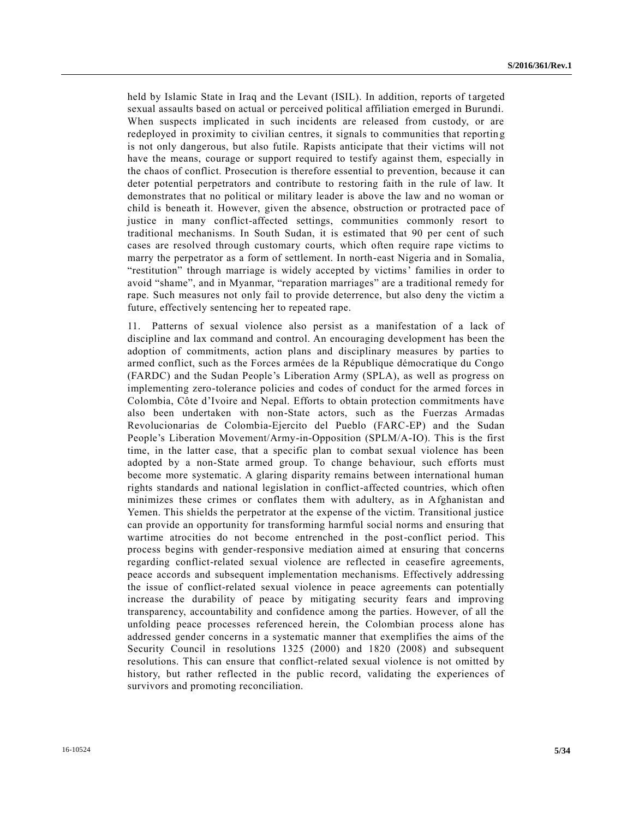held by Islamic State in Iraq and the Levant (ISIL). In addition, reports of targeted sexual assaults based on actual or perceived political affiliation emerged in Burundi. When suspects implicated in such incidents are released from custody, or are redeployed in proximity to civilian centres, it signals to communities that reporting is not only dangerous, but also futile. Rapists anticipate that their victims will not have the means, courage or support required to testify against them, especially in the chaos of conflict. Prosecution is therefore essential to prevention, because it can deter potential perpetrators and contribute to restoring faith in the rule of law. It demonstrates that no political or military leader is above the law and no woman or child is beneath it. However, given the absence, obstruction or protracted pace of justice in many conflict-affected settings, communities commonly resort to traditional mechanisms. In South Sudan, it is estimated that 90 per cent of such cases are resolved through customary courts, which often require rape victims to marry the perpetrator as a form of settlement. In north-east Nigeria and in Somalia, "restitution" through marriage is widely accepted by victims' families in order to avoid "shame", and in Myanmar, "reparation marriages" are a traditional remedy for rape. Such measures not only fail to provide deterrence, but also deny the victim a future, effectively sentencing her to repeated rape.

11. Patterns of sexual violence also persist as a manifestation of a lack of discipline and lax command and control. An encouraging development has been the adoption of commitments, action plans and disciplinary measures by parties to armed conflict, such as the Forces armées de la République démocratique du Congo (FARDC) and the Sudan People's Liberation Army (SPLA), as well as progress on implementing zero-tolerance policies and codes of conduct for the armed forces in Colombia, Côte d'Ivoire and Nepal. Efforts to obtain protection commitments have also been undertaken with non-State actors, such as the Fuerzas Armadas Revolucionarias de Colombia-Ejercito del Pueblo (FARC-EP) and the Sudan People's Liberation Movement/Army-in-Opposition (SPLM/A-IO). This is the first time, in the latter case, that a specific plan to combat sexual violence has been adopted by a non-State armed group. To change behaviour, such efforts must become more systematic. A glaring disparity remains between international human rights standards and national legislation in conflict-affected countries, which often minimizes these crimes or conflates them with adultery, as in Afghanistan and Yemen. This shields the perpetrator at the expense of the victim. Transitional justice can provide an opportunity for transforming harmful social norms and ensuring that wartime atrocities do not become entrenched in the post-conflict period. This process begins with gender-responsive mediation aimed at ensuring that concerns regarding conflict-related sexual violence are reflected in ceasefire agreements, peace accords and subsequent implementation mechanisms. Effectively addressing the issue of conflict-related sexual violence in peace agreements can potentially increase the durability of peace by mitigating security fears and improving transparency, accountability and confidence among the parties. However, of all the unfolding peace processes referenced herein, the Colombian process alone has addressed gender concerns in a systematic manner that exemplifies the aims of the Security Council in resolutions 1325 (2000) and 1820 (2008) and subsequent resolutions. This can ensure that conflict-related sexual violence is not omitted by history, but rather reflected in the public record, validating the experiences of survivors and promoting reconciliation.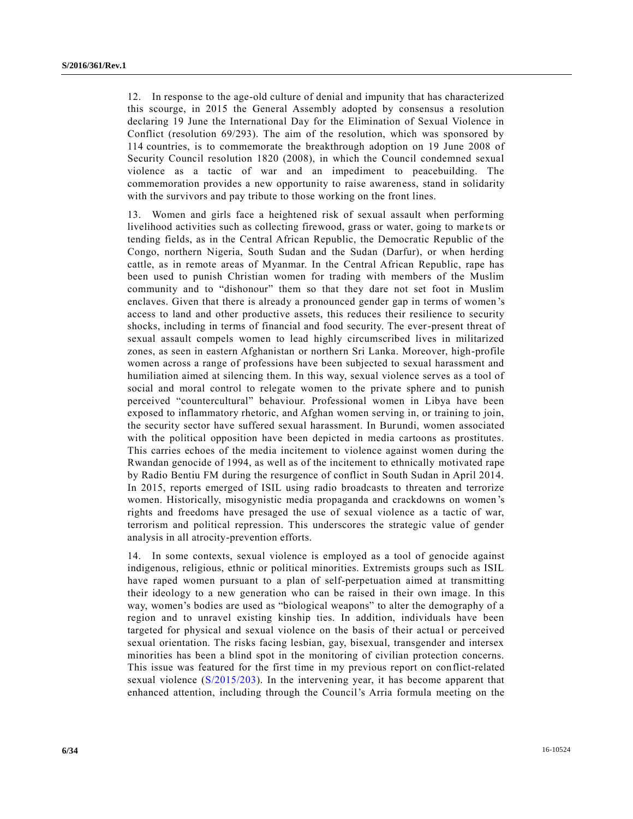12. In response to the age-old culture of denial and impunity that has characterized this scourge, in 2015 the General Assembly adopted by consensus a resolution declaring 19 June the International Day for the Elimination of Sexual Violence in Conflict (resolution 69/293). The aim of the resolution, which was sponsored by 114 countries, is to commemorate the breakthrough adoption on 19 June 2008 of Security Council resolution 1820 (2008), in which the Council condemned sexual violence as a tactic of war and an impediment to peacebuilding. The commemoration provides a new opportunity to raise awareness, stand in solidarity with the survivors and pay tribute to those working on the front lines.

13. Women and girls face a heightened risk of sexual assault when performing livelihood activities such as collecting firewood, grass or water, going to marke ts or tending fields, as in the Central African Republic, the Democratic Republic of the Congo, northern Nigeria, South Sudan and the Sudan (Darfur), or when herding cattle, as in remote areas of Myanmar. In the Central African Republic, rape has been used to punish Christian women for trading with members of the Muslim community and to "dishonour" them so that they dare not set foot in Muslim enclaves. Given that there is already a pronounced gender gap in terms of women 's access to land and other productive assets, this reduces their resilience to security shocks, including in terms of financial and food security. The ever-present threat of sexual assault compels women to lead highly circumscribed lives in militarized zones, as seen in eastern Afghanistan or northern Sri Lanka. Moreover, high-profile women across a range of professions have been subjected to sexual harassment and humiliation aimed at silencing them. In this way, sexual violence serves as a tool of social and moral control to relegate women to the private sphere and to punish perceived "countercultural" behaviour. Professional women in Libya have been exposed to inflammatory rhetoric, and Afghan women serving in, or training to join, the security sector have suffered sexual harassment. In Burundi, women associated with the political opposition have been depicted in media cartoons as prostitutes. This carries echoes of the media incitement to violence against women during the Rwandan genocide of 1994, as well as of the incitement to ethnically motivated rape by Radio Bentiu FM during the resurgence of conflict in South Sudan in April 2014. In 2015, reports emerged of ISIL using radio broadcasts to threaten and terrorize women. Historically, misogynistic media propaganda and crackdowns on women's rights and freedoms have presaged the use of sexual violence as a tactic of war, terrorism and political repression. This underscores the strategic value of gender analysis in all atrocity-prevention efforts.

14. In some contexts, sexual violence is employed as a tool of genocide against indigenous, religious, ethnic or political minorities. Extremists groups such as ISIL have raped women pursuant to a plan of self-perpetuation aimed at transmitting their ideology to a new generation who can be raised in their own image. In this way, women's bodies are used as "biological weapons" to alter the demography of a region and to unravel existing kinship ties. In addition, individuals have been targeted for physical and sexual violence on the basis of their actual or perceived sexual orientation. The risks facing lesbian, gay, bisexual, transgender and intersex minorities has been a blind spot in the monitoring of civilian protection concerns. This issue was featured for the first time in my previous report on conflict-related sexual violence [\(S/2015/203\)](http://undocs.org/S/2015/203). In the intervening year, it has become apparent that enhanced attention, including through the Council's Arria formula meeting on the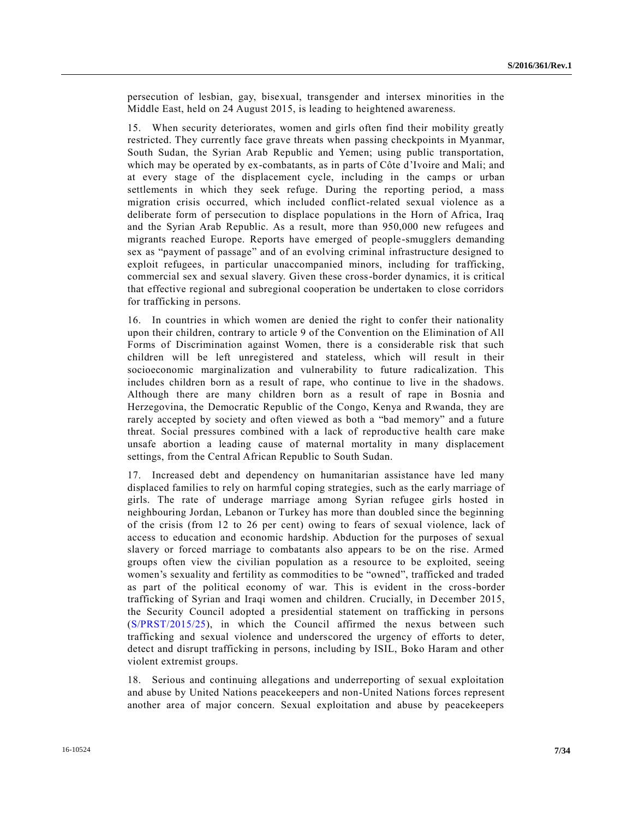persecution of lesbian, gay, bisexual, transgender and intersex minorities in the Middle East, held on 24 August 2015, is leading to heightened awareness.

15. When security deteriorates, women and girls often find their mobility greatly restricted. They currently face grave threats when passing checkpoints in Myanmar, South Sudan, the Syrian Arab Republic and Yemen; using public transportation, which may be operated by ex-combatants, as in parts of Côte d'Ivoire and Mali; and at every stage of the displacement cycle, including in the camps or urban settlements in which they seek refuge. During the reporting period, a mass migration crisis occurred, which included conflict-related sexual violence as a deliberate form of persecution to displace populations in the Horn of Africa, Iraq and the Syrian Arab Republic. As a result, more than 950,000 new refugees and migrants reached Europe. Reports have emerged of people-smugglers demanding sex as "payment of passage" and of an evolving criminal infrastructure designed to exploit refugees, in particular unaccompanied minors, including for trafficking, commercial sex and sexual slavery. Given these cross-border dynamics, it is critical that effective regional and subregional cooperation be undertaken to close corridors for trafficking in persons.

16. In countries in which women are denied the right to confer their nationality upon their children, contrary to article 9 of the Convention on the Elimination of All Forms of Discrimination against Women, there is a considerable risk that such children will be left unregistered and stateless, which will result in their socioeconomic marginalization and vulnerability to future radicalization. This includes children born as a result of rape, who continue to live in the shadows. Although there are many children born as a result of rape in Bosnia and Herzegovina, the Democratic Republic of the Congo, Kenya and Rwanda, they are rarely accepted by society and often viewed as both a "bad memory" and a future threat. Social pressures combined with a lack of reproductive health care make unsafe abortion a leading cause of maternal mortality in many displacement settings, from the Central African Republic to South Sudan.

17. Increased debt and dependency on humanitarian assistance have led many displaced families to rely on harmful coping strategies, such as the early marriage of girls. The rate of underage marriage among Syrian refugee girls hosted in neighbouring Jordan, Lebanon or Turkey has more than doubled since the beginning of the crisis (from 12 to 26 per cent) owing to fears of sexual violence, lack of access to education and economic hardship. Abduction for the purposes of sexual slavery or forced marriage to combatants also appears to be on the rise. Armed groups often view the civilian population as a resource to be exploited, seeing women's sexuality and fertility as commodities to be "owned", trafficked and traded as part of the political economy of war. This is evident in the cross-border trafficking of Syrian and Iraqi women and children. Crucially, in December 2015, the Security Council adopted a presidential statement on trafficking in persons [\(S/PRST/2015/25\)](http://undocs.org/S/PRST/2015/25), in which the Council affirmed the nexus between such trafficking and sexual violence and underscored the urgency of efforts to deter, detect and disrupt trafficking in persons, including by ISIL, Boko Haram and other violent extremist groups.

18. Serious and continuing allegations and underreporting of sexual exploitation and abuse by United Nations peacekeepers and non-United Nations forces represent another area of major concern. Sexual exploitation and abuse by peacekeepers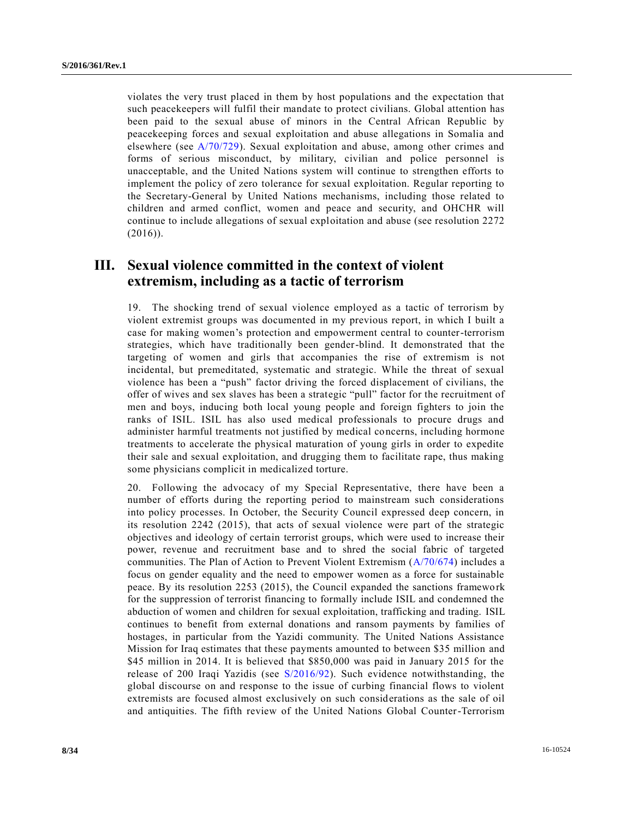violates the very trust placed in them by host populations and the expectation that such peacekeepers will fulfil their mandate to protect civilians. Global attention has been paid to the sexual abuse of minors in the Central African Republic by peacekeeping forces and sexual exploitation and abuse allegations in Somalia and elsewhere (see [A/70/729\)](http://undocs.org/A/70/729). Sexual exploitation and abuse, among other crimes and forms of serious misconduct, by military, civilian and police personnel is unacceptable, and the United Nations system will continue to strengthen efforts to implement the policy of zero tolerance for sexual exploitation. Regular reporting to the Secretary-General by United Nations mechanisms, including those related to children and armed conflict, women and peace and security, and OHCHR will continue to include allegations of sexual exploitation and abuse (see resolution 2272  $(2016)$ ).

# **III. Sexual violence committed in the context of violent extremism, including as a tactic of terrorism**

19. The shocking trend of sexual violence employed as a tactic of terrorism by violent extremist groups was documented in my previous report, in which I built a case for making women's protection and empowerment central to counter-terrorism strategies, which have traditionally been gender-blind. It demonstrated that the targeting of women and girls that accompanies the rise of extremism is not incidental, but premeditated, systematic and strategic. While the threat of sexual violence has been a "push" factor driving the forced displacement of civilians, the offer of wives and sex slaves has been a strategic "pull" factor for the recruitment of men and boys, inducing both local young people and foreign fighters to join the ranks of ISIL. ISIL has also used medical professionals to procure drugs and administer harmful treatments not justified by medical concerns, including hormone treatments to accelerate the physical maturation of young girls in order to expedite their sale and sexual exploitation, and drugging them to facilitate rape, thus making some physicians complicit in medicalized torture.

20. Following the advocacy of my Special Representative, there have been a number of efforts during the reporting period to mainstream such considerations into policy processes. In October, the Security Council expressed deep concern, in its resolution 2242 (2015), that acts of sexual violence were part of the strategic objectives and ideology of certain terrorist groups, which were used to increase their power, revenue and recruitment base and to shred the social fabric of targeted communities. The Plan of Action to Prevent Violent Extremism [\(A/70/674\)](http://undocs.org/A/70/674) includes a focus on gender equality and the need to empower women as a force for sustainable peace. By its resolution 2253 (2015), the Council expanded the sanctions framewo rk for the suppression of terrorist financing to formally include ISIL and condemned the abduction of women and children for sexual exploitation, trafficking and trading. ISIL continues to benefit from external donations and ransom payments by families of hostages, in particular from the Yazidi community. The United Nations Assistance Mission for Iraq estimates that these payments amounted to between \$35 million and \$45 million in 2014. It is believed that \$850,000 was paid in January 2015 for the release of 200 Iraqi Yazidis (see [S/2016/92\)](http://undocs.org/S/2016/92). Such evidence notwithstanding, the global discourse on and response to the issue of curbing financial flows to violent extremists are focused almost exclusively on such considerations as the sale of oil and antiquities. The fifth review of the United Nations Global Counter-Terrorism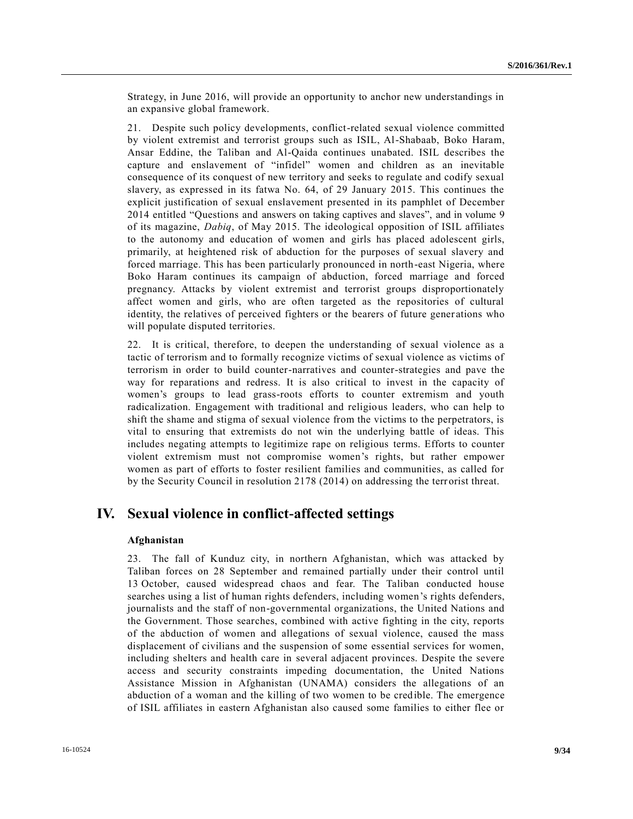Strategy, in June 2016, will provide an opportunity to anchor new understandings in an expansive global framework.

21. Despite such policy developments, conflict-related sexual violence committed by violent extremist and terrorist groups such as ISIL, Al-Shabaab, Boko Haram, Ansar Eddine, the Taliban and Al-Qaida continues unabated. ISIL describes the capture and enslavement of "infidel" women and children as an inevitable consequence of its conquest of new territory and seeks to regulate and codify sexual slavery, as expressed in its fatwa No. 64, of 29 January 2015. This continues the explicit justification of sexual enslavement presented in its pamphlet of December 2014 entitled "Questions and answers on taking captives and slaves", and in volume 9 of its magazine, *Dabiq*, of May 2015. The ideological opposition of ISIL affiliates to the autonomy and education of women and girls has placed adolescent girls, primarily, at heightened risk of abduction for the purposes of sexual slavery and forced marriage. This has been particularly pronounced in north-east Nigeria, where Boko Haram continues its campaign of abduction, forced marriage and forced pregnancy. Attacks by violent extremist and terrorist groups disproportionately affect women and girls, who are often targeted as the repositories of cultural identity, the relatives of perceived fighters or the bearers of future gener ations who will populate disputed territories.

22. It is critical, therefore, to deepen the understanding of sexual violence as a tactic of terrorism and to formally recognize victims of sexual violence as victims of terrorism in order to build counter-narratives and counter-strategies and pave the way for reparations and redress. It is also critical to invest in the capacity of women's groups to lead grass-roots efforts to counter extremism and youth radicalization. Engagement with traditional and religious leaders, who can help to shift the shame and stigma of sexual violence from the victims to the perpetrators, is vital to ensuring that extremists do not win the underlying battle of ideas. This includes negating attempts to legitimize rape on religious terms. Efforts to counter violent extremism must not compromise women's rights, but rather empower women as part of efforts to foster resilient families and communities, as called for by the Security Council in resolution 2178 (2014) on addressing the terr orist threat.

# **IV. Sexual violence in conflict-affected settings**

## **Afghanistan**

23. The fall of Kunduz city, in northern Afghanistan, which was attacked by Taliban forces on 28 September and remained partially under their control until 13 October, caused widespread chaos and fear. The Taliban conducted house searches using a list of human rights defenders, including women's rights defenders, journalists and the staff of non-governmental organizations, the United Nations and the Government. Those searches, combined with active fighting in the city, reports of the abduction of women and allegations of sexual violence, caused the mass displacement of civilians and the suspension of some essential services for women, including shelters and health care in several adjacent provinces. Despite the severe access and security constraints impeding documentation, the United Nations Assistance Mission in Afghanistan (UNAMA) considers the allegations of an abduction of a woman and the killing of two women to be credible. The emergence of ISIL affiliates in eastern Afghanistan also caused some families to either flee or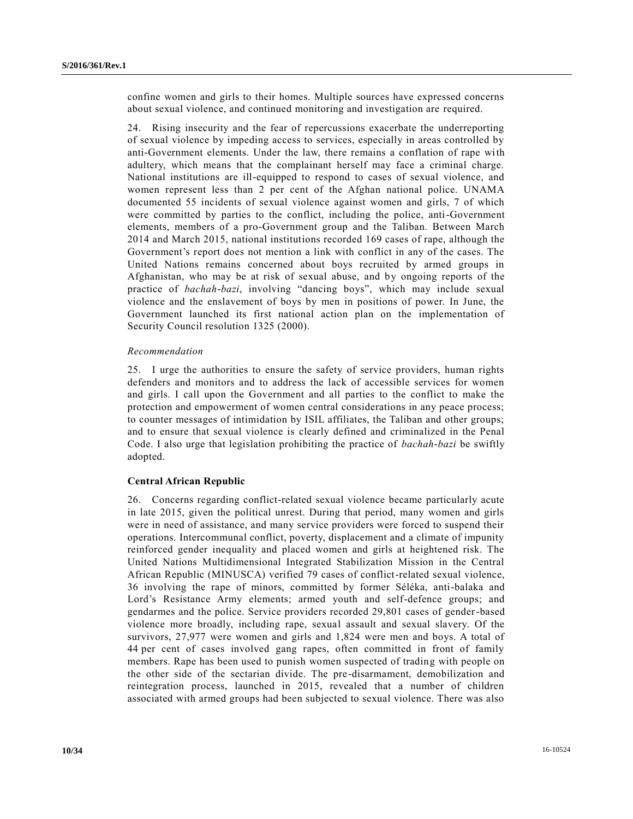confine women and girls to their homes. Multiple sources have expressed concerns about sexual violence, and continued monitoring and investigation are required.

24. Rising insecurity and the fear of repercussions exacerbate the underreporting of sexual violence by impeding access to services, especially in areas controlled by anti-Government elements. Under the law, there remains a conflation of rape with adultery, which means that the complainant herself may face a criminal charge. National institutions are ill-equipped to respond to cases of sexual violence, and women represent less than 2 per cent of the Afghan national police. UNAMA documented 55 incidents of sexual violence against women and girls, 7 of which were committed by parties to the conflict, including the police, anti-Government elements, members of a pro-Government group and the Taliban. Between March 2014 and March 2015, national institutions recorded 169 cases of rape, although the Government's report does not mention a link with conflict in any of the cases. The United Nations remains concerned about boys recruited by armed groups in Afghanistan, who may be at risk of sexual abuse, and by ongoing reports of the practice of *bachah-bazi*, involving "dancing boys", which may include sexual violence and the enslavement of boys by men in positions of power. In June, the Government launched its first national action plan on the implementation of Security Council resolution 1325 (2000).

### *Recommendation*

25. I urge the authorities to ensure the safety of service providers, human rights defenders and monitors and to address the lack of accessible services for women and girls. I call upon the Government and all parties to the conflict to make the protection and empowerment of women central considerations in any peace process; to counter messages of intimidation by ISIL affiliates, the Taliban and other groups; and to ensure that sexual violence is clearly defined and criminalized in the Penal Code. I also urge that legislation prohibiting the practice of *bachah-bazi* be swiftly adopted.

## **Central African Republic**

26. Concerns regarding conflict-related sexual violence became particularly acute in late 2015, given the political unrest. During that period, many women and girls were in need of assistance, and many service providers were forced to suspend their operations. Intercommunal conflict, poverty, displacement and a climate of impunity reinforced gender inequality and placed women and girls at heightened risk. The United Nations Multidimensional Integrated Stabilization Mission in the Central African Republic (MINUSCA) verified 79 cases of conflict-related sexual violence, 36 involving the rape of minors, committed by former Séléka, anti-balaka and Lord's Resistance Army elements; armed youth and self-defence groups; and gendarmes and the police. Service providers recorded 29,801 cases of gender-based violence more broadly, including rape, sexual assault and sexual slavery. Of the survivors, 27,977 were women and girls and 1,824 were men and boys. A total of 44 per cent of cases involved gang rapes, often committed in front of family members. Rape has been used to punish women suspected of trading with people on the other side of the sectarian divide. The pre-disarmament, demobilization and reintegration process, launched in 2015, revealed that a number of children associated with armed groups had been subjected to sexual violence. There was also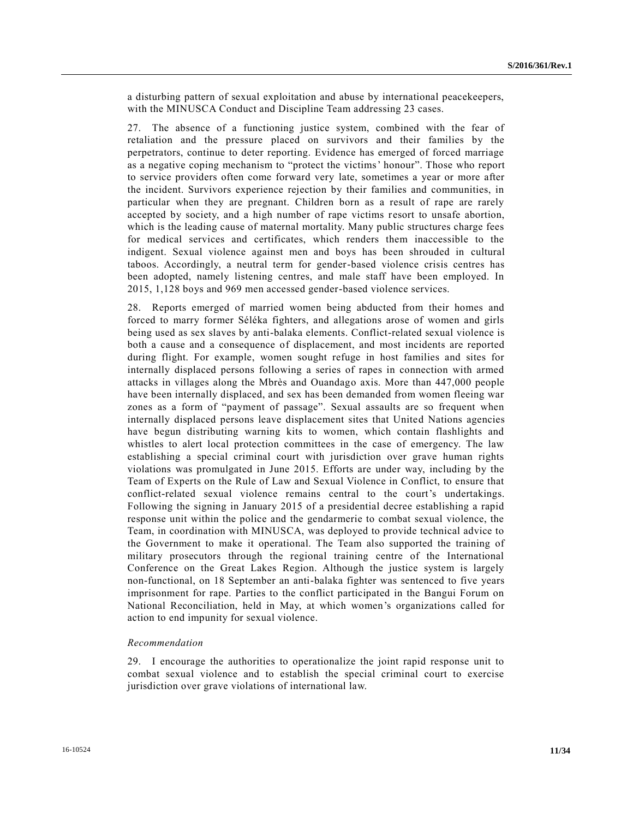a disturbing pattern of sexual exploitation and abuse by international peacekeepers, with the MINUSCA Conduct and Discipline Team addressing 23 cases.

27. The absence of a functioning justice system, combined with the fear of retaliation and the pressure placed on survivors and their families by the perpetrators, continue to deter reporting. Evidence has emerged of forced marriage as a negative coping mechanism to "protect the victims' honour". Those who report to service providers often come forward very late, sometimes a year or more after the incident. Survivors experience rejection by their families and communities, in particular when they are pregnant. Children born as a result of rape are rarely accepted by society, and a high number of rape victims resort to unsafe abortion, which is the leading cause of maternal mortality. Many public structures charge fees for medical services and certificates, which renders them inaccessible to the indigent. Sexual violence against men and boys has been shrouded in cultural taboos. Accordingly, a neutral term for gender-based violence crisis centres has been adopted, namely listening centres, and male staff have been employed. In 2015, 1,128 boys and 969 men accessed gender-based violence services.

28. Reports emerged of married women being abducted from their homes and forced to marry former Séléka fighters, and allegations arose of women and girls being used as sex slaves by anti-balaka elements. Conflict-related sexual violence is both a cause and a consequence of displacement, and most incidents are reported during flight. For example, women sought refuge in host families and sites for internally displaced persons following a series of rapes in connection with armed attacks in villages along the Mbrès and Ouandago axis. More than 447,000 people have been internally displaced, and sex has been demanded from women fleeing war zones as a form of "payment of passage". Sexual assaults are so frequent when internally displaced persons leave displacement sites that United Nations agencies have begun distributing warning kits to women, which contain flashlights and whistles to alert local protection committees in the case of emergency. The law establishing a special criminal court with jurisdiction over grave human rights violations was promulgated in June 2015. Efforts are under way, including by the Team of Experts on the Rule of Law and Sexual Violence in Conflict, to ensure that conflict-related sexual violence remains central to the court's undertakings. Following the signing in January 2015 of a presidential decree establishing a rapid response unit within the police and the gendarmerie to combat sexual violence, the Team, in coordination with MINUSCA, was deployed to provide technical advice to the Government to make it operational. The Team also supported the training of military prosecutors through the regional training centre of the International Conference on the Great Lakes Region. Although the justice system is largely non-functional, on 18 September an anti-balaka fighter was sentenced to five years imprisonment for rape. Parties to the conflict participated in the Bangui Forum on National Reconciliation, held in May, at which women's organizations called for action to end impunity for sexual violence.

## *Recommendation*

29. I encourage the authorities to operationalize the joint rapid response unit to combat sexual violence and to establish the special criminal court to exercise jurisdiction over grave violations of international law.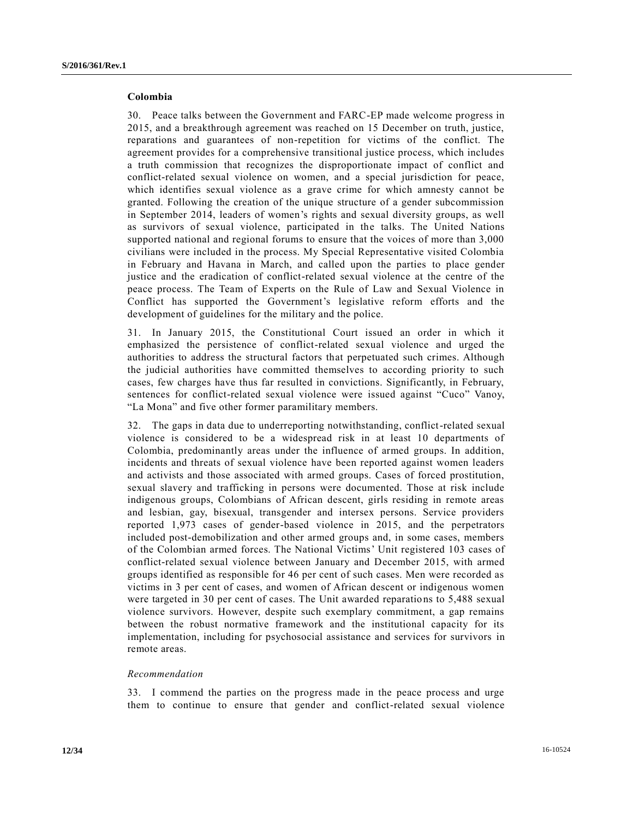## **Colombia**

30. Peace talks between the Government and FARC-EP made welcome progress in 2015, and a breakthrough agreement was reached on 15 December on truth, justice, reparations and guarantees of non-repetition for victims of the conflict. The agreement provides for a comprehensive transitional justice process, which includes a truth commission that recognizes the disproportionate impact of conflict and conflict-related sexual violence on women, and a special jurisdiction for peace, which identifies sexual violence as a grave crime for which amnesty cannot be granted. Following the creation of the unique structure of a gender subcommission in September 2014, leaders of women's rights and sexual diversity groups, as well as survivors of sexual violence, participated in the talks. The United Nations supported national and regional forums to ensure that the voices of more than 3,000 civilians were included in the process. My Special Representative visited Colombia in February and Havana in March, and called upon the parties to place gender justice and the eradication of conflict-related sexual violence at the centre of the peace process. The Team of Experts on the Rule of Law and Sexual Violence in Conflict has supported the Government's legislative reform efforts and the development of guidelines for the military and the police.

31. In January 2015, the Constitutional Court issued an order in which it emphasized the persistence of conflict-related sexual violence and urged the authorities to address the structural factors that perpetuated such crimes. Although the judicial authorities have committed themselves to according priority to such cases, few charges have thus far resulted in convictions. Significantly, in February, sentences for conflict-related sexual violence were issued against "Cuco" Vanoy, "La Mona" and five other former paramilitary members.

32. The gaps in data due to underreporting notwithstanding, conflict-related sexual violence is considered to be a widespread risk in at least 10 departments of Colombia, predominantly areas under the influence of armed groups. In addition, incidents and threats of sexual violence have been reported against women leaders and activists and those associated with armed groups. Cases of forced prostitution, sexual slavery and trafficking in persons were documented. Those at risk include indigenous groups, Colombians of African descent, girls residing in remote areas and lesbian, gay, bisexual, transgender and intersex persons. Service providers reported 1,973 cases of gender-based violence in 2015, and the perpetrators included post-demobilization and other armed groups and, in some cases, members of the Colombian armed forces. The National Victims' Unit registered 103 cases of conflict-related sexual violence between January and December 2015, with armed groups identified as responsible for 46 per cent of such cases. Men were recorded as victims in 3 per cent of cases, and women of African descent or indigenous women were targeted in 30 per cent of cases. The Unit awarded reparations to 5,488 sexual violence survivors. However, despite such exemplary commitment, a gap remains between the robust normative framework and the institutional capacity for its implementation, including for psychosocial assistance and services for survivors in remote areas.

#### *Recommendation*

33. I commend the parties on the progress made in the peace process and urge them to continue to ensure that gender and conflict-related sexual violence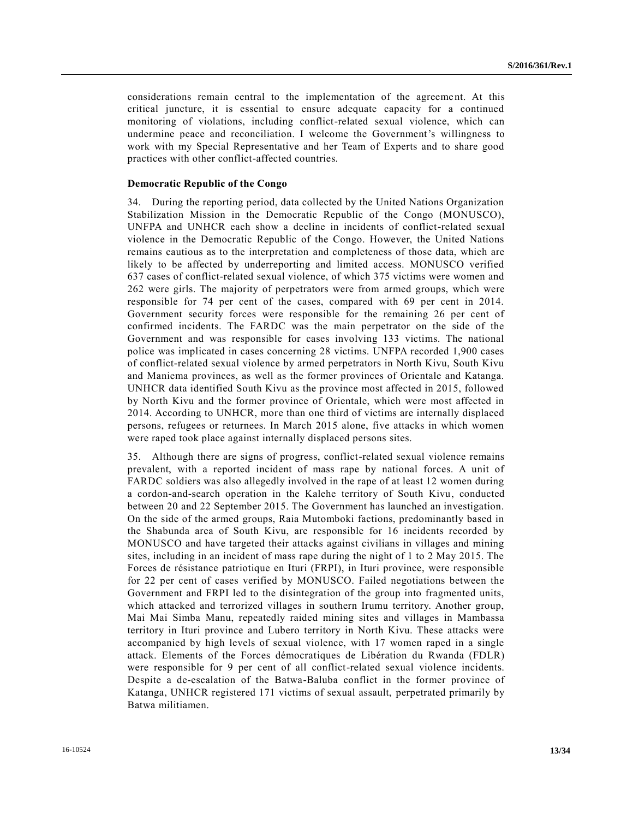considerations remain central to the implementation of the agreement. At this critical juncture, it is essential to ensure adequate capacity for a continued monitoring of violations, including conflict-related sexual violence, which can undermine peace and reconciliation. I welcome the Government's willingness to work with my Special Representative and her Team of Experts and to share good practices with other conflict-affected countries.

### **Democratic Republic of the Congo**

34. During the reporting period, data collected by the United Nations Organization Stabilization Mission in the Democratic Republic of the Congo (MONUSCO), UNFPA and UNHCR each show a decline in incidents of conflict-related sexual violence in the Democratic Republic of the Congo. However, the United Nations remains cautious as to the interpretation and completeness of those data, which are likely to be affected by underreporting and limited access. MONUSCO verified 637 cases of conflict-related sexual violence, of which 375 victims were women and 262 were girls. The majority of perpetrators were from armed groups, which were responsible for 74 per cent of the cases, compared with 69 per cent in 2014. Government security forces were responsible for the remaining 26 per cent of confirmed incidents. The FARDC was the main perpetrator on the side of the Government and was responsible for cases involving 133 victims. The national police was implicated in cases concerning 28 victims. UNFPA recorded 1,900 cases of conflict-related sexual violence by armed perpetrators in North Kivu, South Kivu and Maniema provinces, as well as the former provinces of Orientale and Katanga. UNHCR data identified South Kivu as the province most affected in 2015, followed by North Kivu and the former province of Orientale, which were most affected in 2014. According to UNHCR, more than one third of victims are internally displaced persons, refugees or returnees. In March 2015 alone, five attacks in which women were raped took place against internally displaced persons sites.

35. Although there are signs of progress, conflict-related sexual violence remains prevalent, with a reported incident of mass rape by national forces. A unit of FARDC soldiers was also allegedly involved in the rape of at least 12 women during a cordon-and-search operation in the Kalehe territory of South Kivu, conducted between 20 and 22 September 2015. The Government has launched an investigation. On the side of the armed groups, Raia Mutomboki factions, predominantly based in the Shabunda area of South Kivu, are responsible for 16 incidents recorded by MONUSCO and have targeted their attacks against civilians in villages and mining sites, including in an incident of mass rape during the night of 1 to 2 May 2015. The Forces de résistance patriotique en Ituri (FRPI), in Ituri province, were responsible for 22 per cent of cases verified by MONUSCO. Failed negotiations between the Government and FRPI led to the disintegration of the group into fragmented units, which attacked and terrorized villages in southern Irumu territory. Another group, Mai Mai Simba Manu, repeatedly raided mining sites and villages in Mambassa territory in Ituri province and Lubero territory in North Kivu. These attacks were accompanied by high levels of sexual violence, with 17 women raped in a single attack. Elements of the Forces démocratiques de Libération du Rwanda (FDLR) were responsible for 9 per cent of all conflict-related sexual violence incidents. Despite a de-escalation of the Batwa-Baluba conflict in the former province of Katanga, UNHCR registered 171 victims of sexual assault, perpetrated primarily by Batwa militiamen.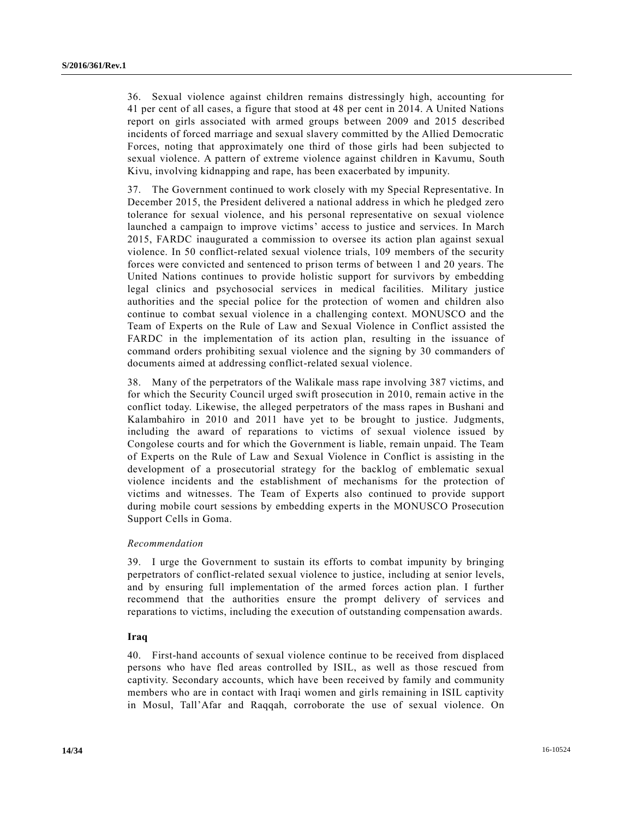36. Sexual violence against children remains distressingly high, accounting for 41 per cent of all cases, a figure that stood at 48 per cent in 2014. A United Nations report on girls associated with armed groups between 2009 and 2015 described incidents of forced marriage and sexual slavery committed by the Allied Democratic Forces, noting that approximately one third of those girls had been subjected to sexual violence. A pattern of extreme violence against children in Kavumu, South Kivu, involving kidnapping and rape, has been exacerbated by impunity.

37. The Government continued to work closely with my Special Representative. In December 2015, the President delivered a national address in which he pledged zero tolerance for sexual violence, and his personal representative on sexual violence launched a campaign to improve victims' access to justice and services. In March 2015, FARDC inaugurated a commission to oversee its action plan against sexual violence. In 50 conflict-related sexual violence trials, 109 members of the security forces were convicted and sentenced to prison terms of between 1 and 20 years. The United Nations continues to provide holistic support for survivors by embedding legal clinics and psychosocial services in medical facilities. Military justice authorities and the special police for the protection of women and children also continue to combat sexual violence in a challenging context. MONUSCO and the Team of Experts on the Rule of Law and Sexual Violence in Conflict assisted the FARDC in the implementation of its action plan, resulting in the issuance of command orders prohibiting sexual violence and the signing by 30 commanders of documents aimed at addressing conflict-related sexual violence.

38. Many of the perpetrators of the Walikale mass rape involving 387 victims, and for which the Security Council urged swift prosecution in 2010, remain active in the conflict today. Likewise, the alleged perpetrators of the mass rapes in Bushani and Kalambahiro in 2010 and 2011 have yet to be brought to justice. Judgments, including the award of reparations to victims of sexual violence issued by Congolese courts and for which the Government is liable, remain unpaid. The Team of Experts on the Rule of Law and Sexual Violence in Conflict is assisting in the development of a prosecutorial strategy for the backlog of emblematic sexual violence incidents and the establishment of mechanisms for the protection of victims and witnesses. The Team of Experts also continued to provide support during mobile court sessions by embedding experts in the MONUSCO Prosecution Support Cells in Goma.

## *Recommendation*

39. I urge the Government to sustain its efforts to combat impunity by bringing perpetrators of conflict-related sexual violence to justice, including at senior levels, and by ensuring full implementation of the armed forces action plan. I further recommend that the authorities ensure the prompt delivery of services and reparations to victims, including the execution of outstanding compensation awards.

## **Iraq**

40. First-hand accounts of sexual violence continue to be received from displaced persons who have fled areas controlled by ISIL, as well as those rescued from captivity. Secondary accounts, which have been received by family and community members who are in contact with Iraqi women and girls remaining in ISIL captivity in Mosul, Tall'Afar and Raqqah, corroborate the use of sexual violence. On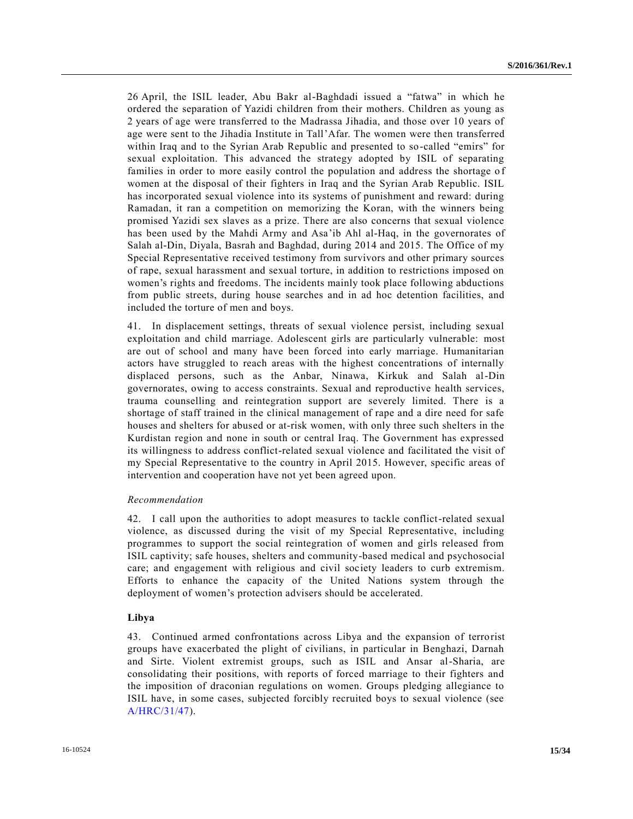26 April, the ISIL leader, Abu Bakr al-Baghdadi issued a "fatwa" in which he ordered the separation of Yazidi children from their mothers. Children as young as 2 years of age were transferred to the Madrassa Jihadia, and those over 10 years of age were sent to the Jihadia Institute in Tall'Afar. The women were then transferred within Iraq and to the Syrian Arab Republic and presented to so-called "emirs" for sexual exploitation. This advanced the strategy adopted by ISIL of separating families in order to more easily control the population and address the shortage of women at the disposal of their fighters in Iraq and the Syrian Arab Republic. ISIL has incorporated sexual violence into its systems of punishment and reward: during Ramadan, it ran a competition on memorizing the Koran, with the winners being promised Yazidi sex slaves as a prize. There are also concerns that sexual violence has been used by the Mahdi Army and Asa'ib Ahl al-Haq, in the governorates of Salah al-Din, Diyala, Basrah and Baghdad, during 2014 and 2015. The Office of my Special Representative received testimony from survivors and other primary sources of rape, sexual harassment and sexual torture, in addition to restrictions imposed on women's rights and freedoms. The incidents mainly took place following abductions from public streets, during house searches and in ad hoc detention facilities, and included the torture of men and boys.

41. In displacement settings, threats of sexual violence persist, including sexual exploitation and child marriage. Adolescent girls are particularly vulnerable: most are out of school and many have been forced into early marriage. Humanitarian actors have struggled to reach areas with the highest concentrations of internally displaced persons, such as the Anbar, Ninawa, Kirkuk and Salah al-Din governorates, owing to access constraints. Sexual and reproductive health services, trauma counselling and reintegration support are severely limited. There is a shortage of staff trained in the clinical management of rape and a dire need for safe houses and shelters for abused or at-risk women, with only three such shelters in the Kurdistan region and none in south or central Iraq. The Government has expressed its willingness to address conflict-related sexual violence and facilitated the visit of my Special Representative to the country in April 2015. However, specific areas of intervention and cooperation have not yet been agreed upon.

### *Recommendation*

42. I call upon the authorities to adopt measures to tackle conflict-related sexual violence, as discussed during the visit of my Special Representative, including programmes to support the social reintegration of women and girls released from ISIL captivity; safe houses, shelters and community-based medical and psychosocial care; and engagement with religious and civil society leaders to curb extremism. Efforts to enhance the capacity of the United Nations system through the deployment of women's protection advisers should be accelerated.

#### **Libya**

43. Continued armed confrontations across Libya and the expansion of terrorist groups have exacerbated the plight of civilians, in particular in Benghazi, Darnah and Sirte. Violent extremist groups, such as ISIL and Ansar al-Sharia, are consolidating their positions, with reports of forced marriage to their fighters and the imposition of draconian regulations on women. Groups pledging allegiance to ISIL have, in some cases, subjected forcibly recruited boys to sexual violence (see [A/HRC/31/47\)](http://undocs.org/A/HRC/31/47).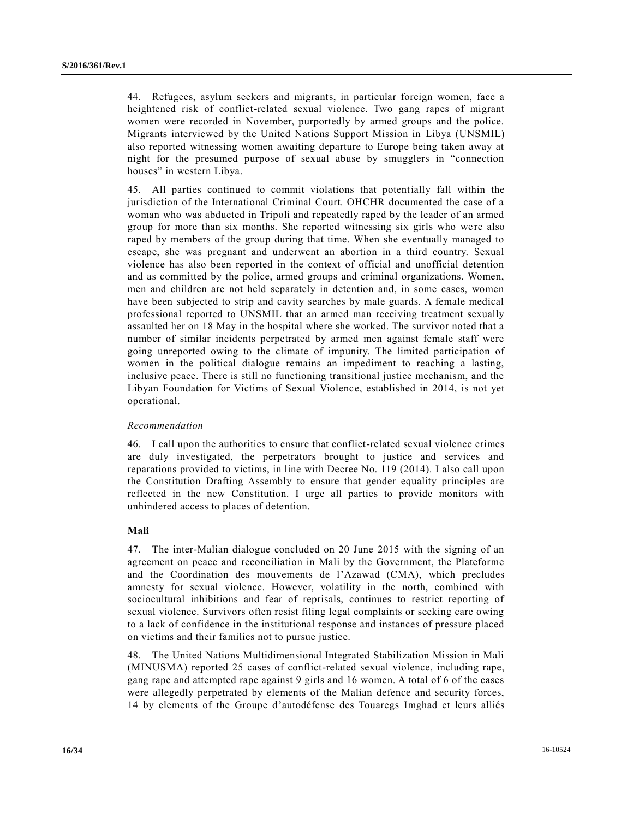44. Refugees, asylum seekers and migrants, in particular foreign women, face a heightened risk of conflict-related sexual violence. Two gang rapes of migrant women were recorded in November, purportedly by armed groups and the police. Migrants interviewed by the United Nations Support Mission in Libya (UNSMIL) also reported witnessing women awaiting departure to Europe being taken away at night for the presumed purpose of sexual abuse by smugglers in "connection houses" in western Libya.

45. All parties continued to commit violations that potentially fall within the jurisdiction of the International Criminal Court. OHCHR documented the case of a woman who was abducted in Tripoli and repeatedly raped by the leader of an armed group for more than six months. She reported witnessing six girls who were also raped by members of the group during that time. When she eventually managed to escape, she was pregnant and underwent an abortion in a third country. Sexual violence has also been reported in the context of official and unofficial detention and as committed by the police, armed groups and criminal organizations. Women, men and children are not held separately in detention and, in some cases, women have been subjected to strip and cavity searches by male guards. A female medical professional reported to UNSMIL that an armed man receiving treatment sexually assaulted her on 18 May in the hospital where she worked. The survivor noted that a number of similar incidents perpetrated by armed men against female staff were going unreported owing to the climate of impunity. The limited participation of women in the political dialogue remains an impediment to reaching a lasting, inclusive peace. There is still no functioning transitional justice mechanism, and the Libyan Foundation for Victims of Sexual Violence, established in 2014, is not yet operational.

### *Recommendation*

46. I call upon the authorities to ensure that conflict-related sexual violence crimes are duly investigated, the perpetrators brought to justice and services and reparations provided to victims, in line with Decree No. 119 (2014). I also call upon the Constitution Drafting Assembly to ensure that gender equality principles are reflected in the new Constitution. I urge all parties to provide monitors with unhindered access to places of detention.

### **Mali**

47. The inter-Malian dialogue concluded on 20 June 2015 with the signing of an agreement on peace and reconciliation in Mali by the Government, the Plateforme and the Coordination des mouvements de l'Azawad (CMA), which precludes amnesty for sexual violence. However, volatility in the north, combined with sociocultural inhibitions and fear of reprisals, continues to restrict reporting of sexual violence. Survivors often resist filing legal complaints or seeking care owing to a lack of confidence in the institutional response and instances of pressure placed on victims and their families not to pursue justice.

48. The United Nations Multidimensional Integrated Stabilization Mission in Mali (MINUSMA) reported 25 cases of conflict-related sexual violence, including rape, gang rape and attempted rape against 9 girls and 16 women. A total of 6 of the cases were allegedly perpetrated by elements of the Malian defence and security forces, 14 by elements of the Groupe d'autodéfense des Touaregs Imghad et leurs alliés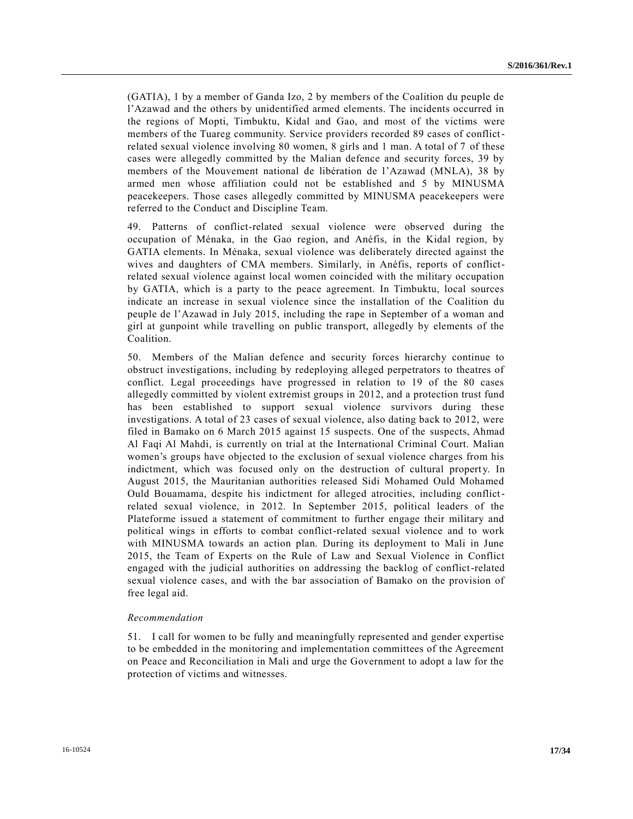(GATIA), 1 by a member of Ganda Izo, 2 by members of the Coalition du peuple de l'Azawad and the others by unidentified armed elements. The incidents occurred in the regions of Mopti, Timbuktu, Kidal and Gao, and most of the victims were members of the Tuareg community. Service providers recorded 89 cases of conflictrelated sexual violence involving 80 women, 8 girls and 1 man. A total of 7 of these cases were allegedly committed by the Malian defence and security forces, 39 by members of the Mouvement national de libération de l'Azawad (MNLA), 38 by armed men whose affiliation could not be established and 5 by MINUSMA peacekeepers. Those cases allegedly committed by MINUSMA peacekeepers were referred to the Conduct and Discipline Team.

49. Patterns of conflict-related sexual violence were observed during the occupation of Ménaka, in the Gao region, and Anéfis, in the Kidal region, by GATIA elements. In Ménaka, sexual violence was deliberately directed against the wives and daughters of CMA members. Similarly, in Anéfis, reports of conflictrelated sexual violence against local women coincided with the military occupation by GATIA, which is a party to the peace agreement. In Timbuktu, local sources indicate an increase in sexual violence since the installation of the Coalition du peuple de l'Azawad in July 2015, including the rape in September of a woman and girl at gunpoint while travelling on public transport, allegedly by elements of the Coalition.

50. Members of the Malian defence and security forces hierarchy continue to obstruct investigations, including by redeploying alleged perpetrators to theatres of conflict. Legal proceedings have progressed in relation to 19 of the 80 cases allegedly committed by violent extremist groups in 2012, and a protection trust fund has been established to support sexual violence survivors during these investigations. A total of 23 cases of sexual violence, also dating back to 2012, were filed in Bamako on 6 March 2015 against 15 suspects. One of the suspects, Ahmad Al Faqi Al Mahdi, is currently on trial at the International Criminal Court. Malian women's groups have objected to the exclusion of sexual violence charges from his indictment, which was focused only on the destruction of cultural property. In August 2015, the Mauritanian authorities released Sidi Mohamed Ould Mohamed Ould Bouamama, despite his indictment for alleged atrocities, including conflictrelated sexual violence, in 2012. In September 2015, political leaders of the Plateforme issued a statement of commitment to further engage their military and political wings in efforts to combat conflict-related sexual violence and to work with MINUSMA towards an action plan. During its deployment to Mali in June 2015, the Team of Experts on the Rule of Law and Sexual Violence in Conflict engaged with the judicial authorities on addressing the backlog of conflict-related sexual violence cases, and with the bar association of Bamako on the provision of free legal aid.

### *Recommendation*

51. I call for women to be fully and meaningfully represented and gender expertise to be embedded in the monitoring and implementation committees of the Agreement on Peace and Reconciliation in Mali and urge the Government to adopt a law for the protection of victims and witnesses.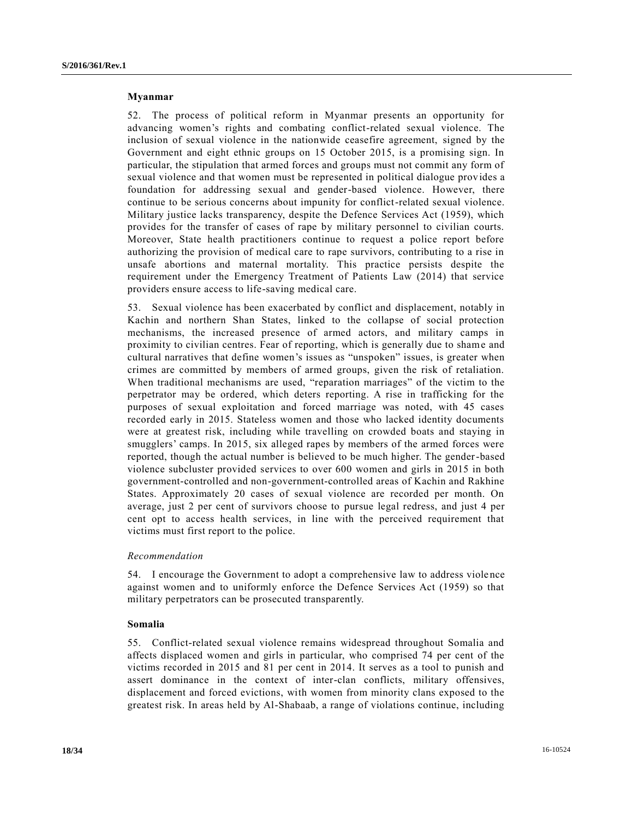#### **Myanmar**

52. The process of political reform in Myanmar presents an opportunity for advancing women's rights and combating conflict-related sexual violence. The inclusion of sexual violence in the nationwide ceasefire agreement, signed by the Government and eight ethnic groups on 15 October 2015, is a promising sign. In particular, the stipulation that armed forces and groups must not commit any form of sexual violence and that women must be represented in political dialogue provides a foundation for addressing sexual and gender-based violence. However, there continue to be serious concerns about impunity for conflict-related sexual violence. Military justice lacks transparency, despite the Defence Services Act (1959), which provides for the transfer of cases of rape by military personnel to civilian courts. Moreover, State health practitioners continue to request a police report before authorizing the provision of medical care to rape survivors, contributing to a rise in unsafe abortions and maternal mortality. This practice persists despite the requirement under the Emergency Treatment of Patients Law (2014) that service providers ensure access to life-saving medical care.

53. Sexual violence has been exacerbated by conflict and displacement, notably in Kachin and northern Shan States, linked to the collapse of social protection mechanisms, the increased presence of armed actors, and military camps in proximity to civilian centres. Fear of reporting, which is generally due to shame and cultural narratives that define women's issues as "unspoken" issues, is greater when crimes are committed by members of armed groups, given the risk of retaliation. When traditional mechanisms are used, "reparation marriages" of the victim to the perpetrator may be ordered, which deters reporting. A rise in trafficking for the purposes of sexual exploitation and forced marriage was noted, with 45 cases recorded early in 2015. Stateless women and those who lacked identity documents were at greatest risk, including while travelling on crowded boats and staying in smugglers' camps. In 2015, six alleged rapes by members of the armed forces were reported, though the actual number is believed to be much higher. The gender-based violence subcluster provided services to over 600 women and girls in 2015 in both government-controlled and non-government-controlled areas of Kachin and Rakhine States. Approximately 20 cases of sexual violence are recorded per month. On average, just 2 per cent of survivors choose to pursue legal redress, and just 4 per cent opt to access health services, in line with the perceived requirement that victims must first report to the police.

## *Recommendation*

54. I encourage the Government to adopt a comprehensive law to address viole nce against women and to uniformly enforce the Defence Services Act (1959) so that military perpetrators can be prosecuted transparently.

#### **Somalia**

55. Conflict-related sexual violence remains widespread throughout Somalia and affects displaced women and girls in particular, who comprised 74 per cent of the victims recorded in 2015 and 81 per cent in 2014. It serves as a tool to punish and assert dominance in the context of inter-clan conflicts, military offensives, displacement and forced evictions, with women from minority clans exposed to the greatest risk. In areas held by Al-Shabaab, a range of violations continue, including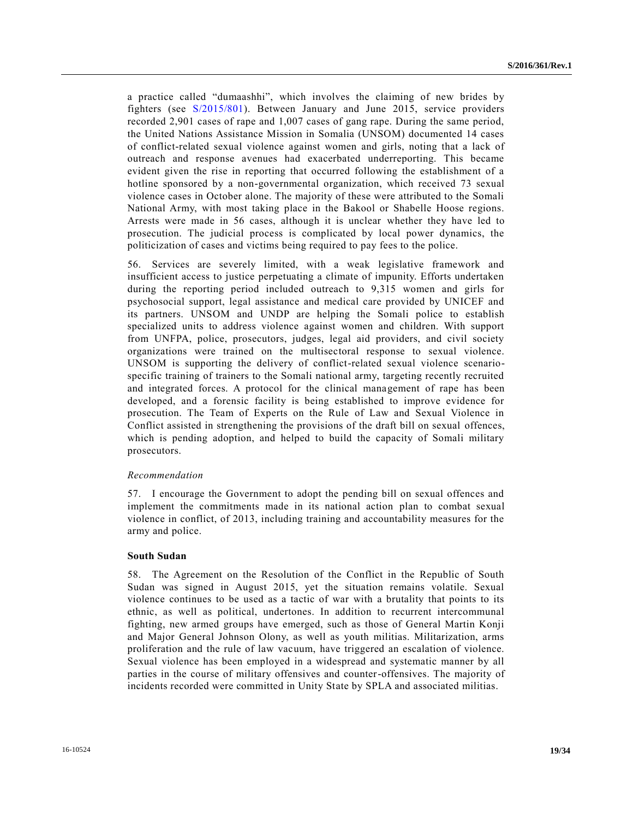a practice called "dumaashhi", which involves the claiming of new brides by fighters (see [S/2015/801\)](http://undocs.org/S/2015/801). Between January and June 2015, service providers recorded 2,901 cases of rape and 1,007 cases of gang rape. During the same period, the United Nations Assistance Mission in Somalia (UNSOM) documented 14 cases of conflict-related sexual violence against women and girls, noting that a lack of outreach and response avenues had exacerbated underreporting. This became evident given the rise in reporting that occurred following the establishment of a hotline sponsored by a non-governmental organization, which received 73 sexual violence cases in October alone. The majority of these were attributed to the Somali National Army, with most taking place in the Bakool or Shabelle Hoose regions. Arrests were made in 56 cases, although it is unclear whether they have led to prosecution. The judicial process is complicated by local power dynamics, the politicization of cases and victims being required to pay fees to the police.

56. Services are severely limited, with a weak legislative framework and insufficient access to justice perpetuating a climate of impunity. Efforts undertaken during the reporting period included outreach to 9,315 women and girls for psychosocial support, legal assistance and medical care provided by UNICEF and its partners. UNSOM and UNDP are helping the Somali police to establish specialized units to address violence against women and children. With support from UNFPA, police, prosecutors, judges, legal aid providers, and civil society organizations were trained on the multisectoral response to sexual violence. UNSOM is supporting the delivery of conflict-related sexual violence scenariospecific training of trainers to the Somali national army, targeting recently recruited and integrated forces. A protocol for the clinical management of rape has been developed, and a forensic facility is being established to improve evidence for prosecution. The Team of Experts on the Rule of Law and Sexual Violence in Conflict assisted in strengthening the provisions of the draft bill on sexual offences, which is pending adoption, and helped to build the capacity of Somali military prosecutors.

### *Recommendation*

57. I encourage the Government to adopt the pending bill on sexual offences and implement the commitments made in its national action plan to combat sexual violence in conflict, of 2013, including training and accountability measures for the army and police.

### **South Sudan**

58. The Agreement on the Resolution of the Conflict in the Republic of South Sudan was signed in August 2015, yet the situation remains volatile. Sexual violence continues to be used as a tactic of war with a brutality that points to its ethnic, as well as political, undertones. In addition to recurrent intercommunal fighting, new armed groups have emerged, such as those of General Martin Konji and Major General Johnson Olony, as well as youth militias. Militarization, arms proliferation and the rule of law vacuum, have triggered an escalation of violence. Sexual violence has been employed in a widespread and systematic manner by all parties in the course of military offensives and counter-offensives. The majority of incidents recorded were committed in Unity State by SPLA and associated militias.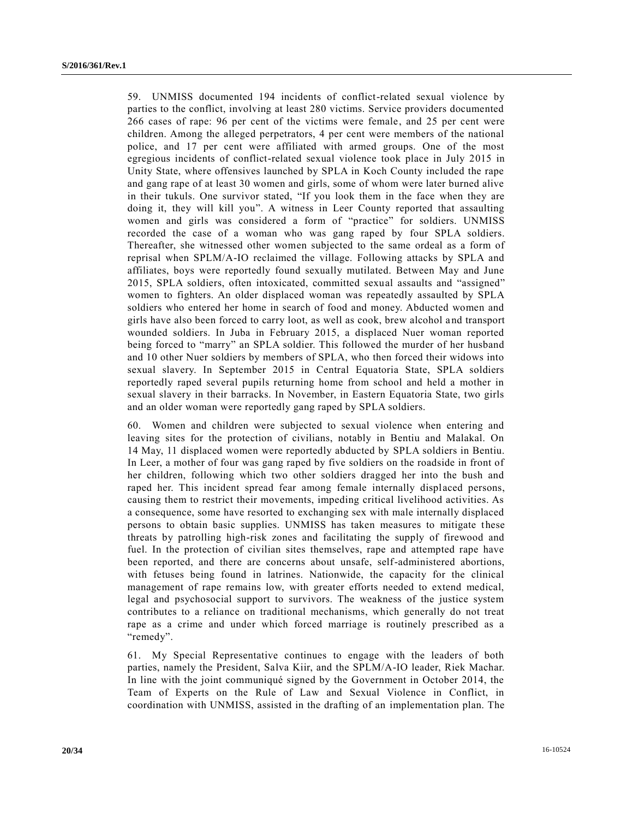59. UNMISS documented 194 incidents of conflict-related sexual violence by parties to the conflict, involving at least 280 victims. Service providers documented 266 cases of rape: 96 per cent of the victims were female, and 25 per cent were children. Among the alleged perpetrators, 4 per cent were members of the national police, and 17 per cent were affiliated with armed groups. One of the most egregious incidents of conflict-related sexual violence took place in July 2015 in Unity State, where offensives launched by SPLA in Koch County included the rape and gang rape of at least 30 women and girls, some of whom were later burned alive in their tukuls. One survivor stated, "If you look them in the face when they are doing it, they will kill you". A witness in Leer County reported that assaulting women and girls was considered a form of "practice" for soldiers. UNMISS recorded the case of a woman who was gang raped by four SPLA soldiers. Thereafter, she witnessed other women subjected to the same ordeal as a form of reprisal when SPLM/A-IO reclaimed the village. Following attacks by SPLA and affiliates, boys were reportedly found sexually mutilated. Between May and June 2015, SPLA soldiers, often intoxicated, committed sexual assaults and "assigned" women to fighters. An older displaced woman was repeatedly assaulted by SPLA soldiers who entered her home in search of food and money. Abducted women and girls have also been forced to carry loot, as well as cook, brew alcohol and transport wounded soldiers. In Juba in February 2015, a displaced Nuer woman reported being forced to "marry" an SPLA soldier. This followed the murder of her husband and 10 other Nuer soldiers by members of SPLA, who then forced their widows into sexual slavery. In September 2015 in Central Equatoria State, SPLA soldiers reportedly raped several pupils returning home from school and held a mother in sexual slavery in their barracks. In November, in Eastern Equatoria State, two girls and an older woman were reportedly gang raped by SPLA soldiers.

60. Women and children were subjected to sexual violence when entering and leaving sites for the protection of civilians, notably in Bentiu and Malakal. On 14 May, 11 displaced women were reportedly abducted by SPLA soldiers in Bentiu. In Leer, a mother of four was gang raped by five soldiers on the roadside in front of her children, following which two other soldiers dragged her into the bush and raped her. This incident spread fear among female internally displaced persons, causing them to restrict their movements, impeding critical livelihood activities. As a consequence, some have resorted to exchanging sex with male internally displaced persons to obtain basic supplies. UNMISS has taken measures to mitigate these threats by patrolling high-risk zones and facilitating the supply of firewood and fuel. In the protection of civilian sites themselves, rape and attempted rape have been reported, and there are concerns about unsafe, self-administered abortions, with fetuses being found in latrines. Nationwide, the capacity for the clinical management of rape remains low, with greater efforts needed to extend medical, legal and psychosocial support to survivors. The weakness of the justice system contributes to a reliance on traditional mechanisms, which generally do not treat rape as a crime and under which forced marriage is routinely prescribed as a "remedy".

61. My Special Representative continues to engage with the leaders of both parties, namely the President, Salva Kiir, and the SPLM/A-IO leader, Riek Machar. In line with the joint communiqué signed by the Government in October 2014, the Team of Experts on the Rule of Law and Sexual Violence in Conflict, in coordination with UNMISS, assisted in the drafting of an implementation plan. The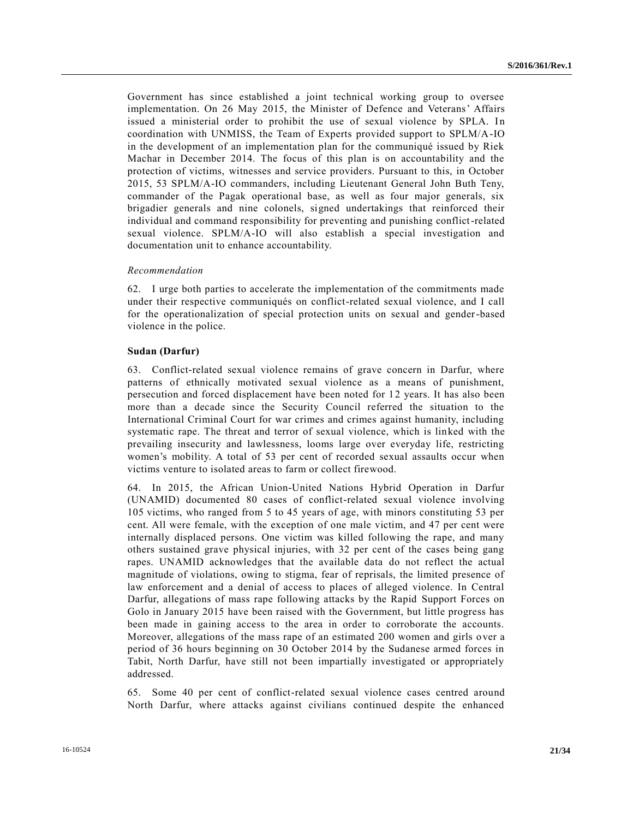Government has since established a joint technical working group to oversee implementation. On 26 May 2015, the Minister of Defence and Veterans' Affairs issued a ministerial order to prohibit the use of sexual violence by SPLA. In coordination with UNMISS, the Team of Experts provided support to SPLM/A-IO in the development of an implementation plan for the communiqué issued by Riek Machar in December 2014. The focus of this plan is on accountability and the protection of victims, witnesses and service providers. Pursuant to this, in October 2015, 53 SPLM/A-IO commanders, including Lieutenant General John Buth Teny, commander of the Pagak operational base, as well as four major generals, six brigadier generals and nine colonels, signed undertakings that reinforced their individual and command responsibility for preventing and punishing conflict-related sexual violence. SPLM/A-IO will also establish a special investigation and documentation unit to enhance accountability.

### *Recommendation*

62. I urge both parties to accelerate the implementation of the commitments made under their respective communiqués on conflict-related sexual violence, and I call for the operationalization of special protection units on sexual and gender-based violence in the police.

### **Sudan (Darfur)**

63. Conflict-related sexual violence remains of grave concern in Darfur, where patterns of ethnically motivated sexual violence as a means of punishment, persecution and forced displacement have been noted for 12 years. It has also been more than a decade since the Security Council referred the situation to the International Criminal Court for war crimes and crimes against humanity, including systematic rape. The threat and terror of sexual violence, which is linked with the prevailing insecurity and lawlessness, looms large over everyday life, restricting women's mobility. A total of 53 per cent of recorded sexual assaults occur when victims venture to isolated areas to farm or collect firewood.

64. In 2015, the African Union-United Nations Hybrid Operation in Darfur (UNAMID) documented 80 cases of conflict-related sexual violence involving 105 victims, who ranged from 5 to 45 years of age, with minors constituting 53 per cent. All were female, with the exception of one male victim, and 47 per cent were internally displaced persons. One victim was killed following the rape, and many others sustained grave physical injuries, with 32 per cent of the cases being gang rapes. UNAMID acknowledges that the available data do not reflect the actual magnitude of violations, owing to stigma, fear of reprisals, the limited presence of law enforcement and a denial of access to places of alleged violence. In Central Darfur, allegations of mass rape following attacks by the Rapid Support Forces on Golo in January 2015 have been raised with the Government, but little progress has been made in gaining access to the area in order to corroborate the accounts. Moreover, allegations of the mass rape of an estimated 200 women and girls o ver a period of 36 hours beginning on 30 October 2014 by the Sudanese armed forces in Tabit, North Darfur, have still not been impartially investigated or appropriately addressed.

65. Some 40 per cent of conflict-related sexual violence cases centred around North Darfur, where attacks against civilians continued despite the enhanced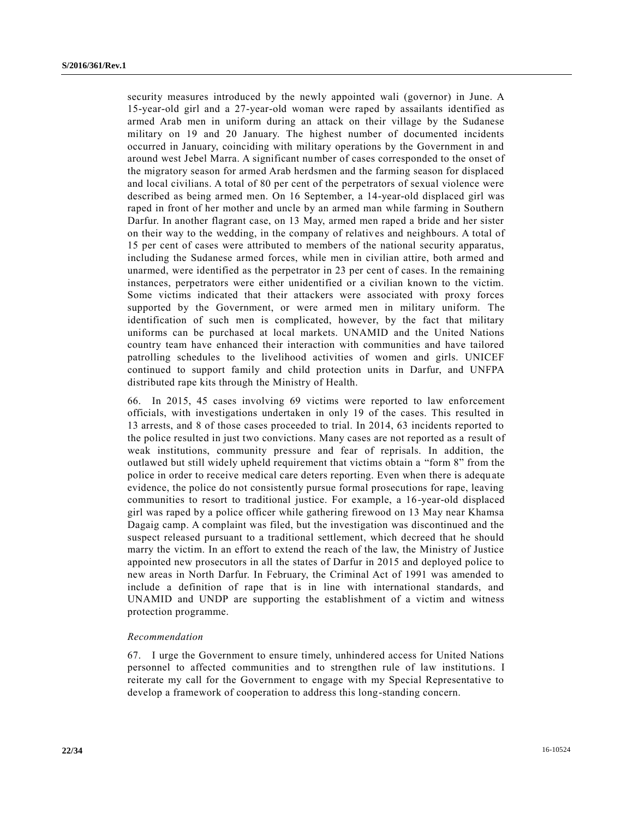security measures introduced by the newly appointed wali (governor) in June. A 15-year-old girl and a 27-year-old woman were raped by assailants identified as armed Arab men in uniform during an attack on their village by the Sudanese military on 19 and 20 January. The highest number of documented incidents occurred in January, coinciding with military operations by the Government in and around west Jebel Marra. A significant number of cases corresponded to the onset of the migratory season for armed Arab herdsmen and the farming season for displaced and local civilians. A total of 80 per cent of the perpetrators of sexual violence were described as being armed men. On 16 September, a 14-year-old displaced girl was raped in front of her mother and uncle by an armed man while farming in Southern Darfur. In another flagrant case, on 13 May, armed men raped a bride and her sister on their way to the wedding, in the company of relatives and neighbours. A total of 15 per cent of cases were attributed to members of the national security apparatus, including the Sudanese armed forces, while men in civilian attire, both armed and unarmed, were identified as the perpetrator in 23 per cent of cases. In the remaining instances, perpetrators were either unidentified or a civilian known to the victim. Some victims indicated that their attackers were associated with proxy forces supported by the Government, or were armed men in military uniform. The identification of such men is complicated, however, by the fact that military uniforms can be purchased at local markets. UNAMID and the United Nations country team have enhanced their interaction with communities and have tailored patrolling schedules to the livelihood activities of women and girls. UNICEF continued to support family and child protection units in Darfur, and UNFPA distributed rape kits through the Ministry of Health.

66. In 2015, 45 cases involving 69 victims were reported to law enforcement officials, with investigations undertaken in only 19 of the cases. This resulted in 13 arrests, and 8 of those cases proceeded to trial. In 2014, 63 incidents reported to the police resulted in just two convictions. Many cases are not reported as a result of weak institutions, community pressure and fear of reprisals. In addition, the outlawed but still widely upheld requirement that victims obtain a "form 8" from the police in order to receive medical care deters reporting. Even when there is adequ ate evidence, the police do not consistently pursue formal prosecutions for rape, leaving communities to resort to traditional justice. For example, a 16-year-old displaced girl was raped by a police officer while gathering firewood on 13 May near Khamsa Dagaig camp. A complaint was filed, but the investigation was discontinued and the suspect released pursuant to a traditional settlement, which decreed that he should marry the victim. In an effort to extend the reach of the law, the Ministry of Justice appointed new prosecutors in all the states of Darfur in 2015 and deployed police to new areas in North Darfur. In February, the Criminal Act of 1991 was amended to include a definition of rape that is in line with international standards, and UNAMID and UNDP are supporting the establishment of a victim and witness protection programme.

### *Recommendation*

67. I urge the Government to ensure timely, unhindered access for United Nations personnel to affected communities and to strengthen rule of law institutio ns. I reiterate my call for the Government to engage with my Special Representative to develop a framework of cooperation to address this long-standing concern.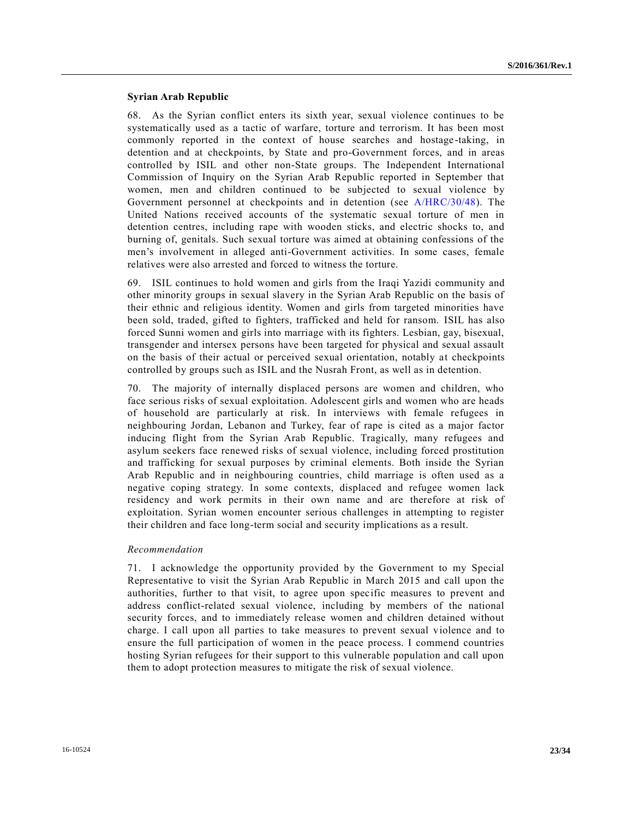## **Syrian Arab Republic**

68. As the Syrian conflict enters its sixth year, sexual violence continues to be systematically used as a tactic of warfare, torture and terrorism. It has been most commonly reported in the context of house searches and hostage -taking, in detention and at checkpoints, by State and pro-Government forces, and in areas controlled by ISIL and other non-State groups. The Independent International Commission of Inquiry on the Syrian Arab Republic reported in September that women, men and children continued to be subjected to sexual violence by Government personnel at checkpoints and in detention (see [A/HRC/30/48\)](http://undocs.org/A/HRC/30/48). The United Nations received accounts of the systematic sexual torture of men in detention centres, including rape with wooden sticks, and electric shocks to, and burning of, genitals. Such sexual torture was aimed at obtaining confessions of the men's involvement in alleged anti-Government activities. In some cases, female relatives were also arrested and forced to witness the torture.

69. ISIL continues to hold women and girls from the Iraqi Yazidi community and other minority groups in sexual slavery in the Syrian Arab Republic on the basis of their ethnic and religious identity. Women and girls from targeted minorities have been sold, traded, gifted to fighters, trafficked and held for ransom. ISIL has also forced Sunni women and girls into marriage with its fighters. Lesbian, gay, bisexual, transgender and intersex persons have been targeted for physical and sexual assault on the basis of their actual or perceived sexual orientation, notably at checkpoints controlled by groups such as ISIL and the Nusrah Front, as well as in detention.

70. The majority of internally displaced persons are women and children, who face serious risks of sexual exploitation. Adolescent girls and women who are heads of household are particularly at risk. In interviews with female refugees in neighbouring Jordan, Lebanon and Turkey, fear of rape is cited as a major factor inducing flight from the Syrian Arab Republic. Tragically, many refugees and asylum seekers face renewed risks of sexual violence, including forced prostitution and trafficking for sexual purposes by criminal elements. Both inside the Syrian Arab Republic and in neighbouring countries, child marriage is often used as a negative coping strategy. In some contexts, displaced and refugee women lack residency and work permits in their own name and are therefore at risk of exploitation. Syrian women encounter serious challenges in attempting to register their children and face long-term social and security implications as a result.

### *Recommendation*

71. I acknowledge the opportunity provided by the Government to my Special Representative to visit the Syrian Arab Republic in March 2015 and call upon the authorities, further to that visit, to agree upon specific measures to prevent and address conflict-related sexual violence, including by members of the national security forces, and to immediately release women and children detained without charge. I call upon all parties to take measures to prevent sexual violence and to ensure the full participation of women in the peace process. I commend countries hosting Syrian refugees for their support to this vulnerable population and call upon them to adopt protection measures to mitigate the risk of sexual violence.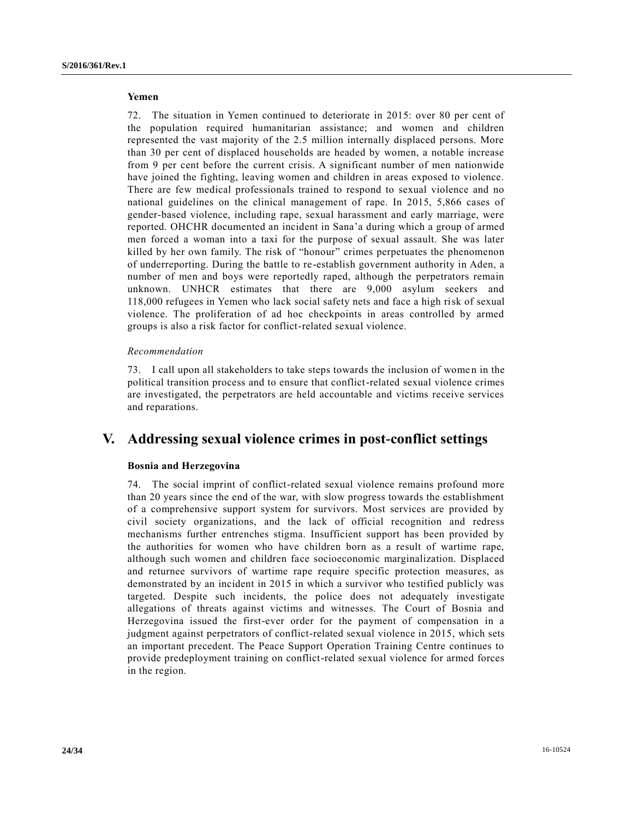## **Yemen**

72. The situation in Yemen continued to deteriorate in 2015: over 80 per cent of the population required humanitarian assistance; and women and children represented the vast majority of the 2.5 million internally displaced persons. More than 30 per cent of displaced households are headed by women, a notable increase from 9 per cent before the current crisis. A significant number of men nationwide have joined the fighting, leaving women and children in areas exposed to violence. There are few medical professionals trained to respond to sexual violence and no national guidelines on the clinical management of rape. In 2015, 5,866 cases of gender-based violence, including rape, sexual harassment and early marriage, were reported. OHCHR documented an incident in Sana'a during which a group of armed men forced a woman into a taxi for the purpose of sexual assault. She was later killed by her own family. The risk of "honour" crimes perpetuates the phenomenon of underreporting. During the battle to re-establish government authority in Aden, a number of men and boys were reportedly raped, although the perpetrators remain unknown. UNHCR estimates that there are 9,000 asylum seekers and 118,000 refugees in Yemen who lack social safety nets and face a high risk of sexual violence. The proliferation of ad hoc checkpoints in areas controlled by armed groups is also a risk factor for conflict-related sexual violence.

### *Recommendation*

73. I call upon all stakeholders to take steps towards the inclusion of wome n in the political transition process and to ensure that conflict-related sexual violence crimes are investigated, the perpetrators are held accountable and victims receive services and reparations.

## **V. Addressing sexual violence crimes in post-conflict settings**

### **Bosnia and Herzegovina**

74. The social imprint of conflict-related sexual violence remains profound more than 20 years since the end of the war, with slow progress towards the establishment of a comprehensive support system for survivors. Most services are provided by civil society organizations, and the lack of official recognition and redress mechanisms further entrenches stigma. Insufficient support has been provided by the authorities for women who have children born as a result of wartime rape, although such women and children face socioeconomic marginalization. Displaced and returnee survivors of wartime rape require specific protection measures, as demonstrated by an incident in 2015 in which a survivor who testified publicly was targeted. Despite such incidents, the police does not adequately investigate allegations of threats against victims and witnesses. The Court of Bosnia and Herzegovina issued the first-ever order for the payment of compensation in a judgment against perpetrators of conflict-related sexual violence in 2015, which sets an important precedent. The Peace Support Operation Training Centre continues to provide predeployment training on conflict-related sexual violence for armed forces in the region.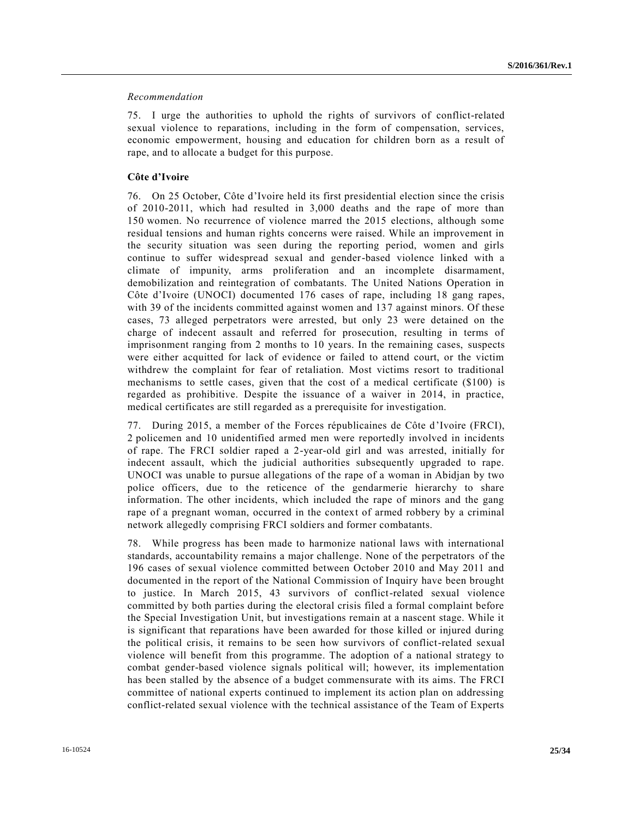## *Recommendation*

75. I urge the authorities to uphold the rights of survivors of conflict-related sexual violence to reparations, including in the form of compensation, services, economic empowerment, housing and education for children born as a result of rape, and to allocate a budget for this purpose.

## **Côte d'Ivoire**

76. On 25 October, Côte d'Ivoire held its first presidential election since the crisis of 2010-2011, which had resulted in 3,000 deaths and the rape of more than 150 women. No recurrence of violence marred the 2015 elections, although some residual tensions and human rights concerns were raised. While an improvement in the security situation was seen during the reporting period, women and girls continue to suffer widespread sexual and gender-based violence linked with a climate of impunity, arms proliferation and an incomplete disarmament, demobilization and reintegration of combatants. The United Nations Operation in Côte d'Ivoire (UNOCI) documented 176 cases of rape, including 18 gang rapes, with 39 of the incidents committed against women and 137 against minors. Of these cases, 73 alleged perpetrators were arrested, but only 23 were detained on the charge of indecent assault and referred for prosecution, resulting in terms of imprisonment ranging from 2 months to 10 years. In the remaining cases, suspects were either acquitted for lack of evidence or failed to attend court, or the victim withdrew the complaint for fear of retaliation. Most victims resort to traditional mechanisms to settle cases, given that the cost of a medical certificate (\$100) is regarded as prohibitive. Despite the issuance of a waiver in 2014, in practice, medical certificates are still regarded as a prerequisite for investigation.

77. During 2015, a member of the Forces républicaines de Côte d'Ivoire (FRCI), 2 policemen and 10 unidentified armed men were reportedly involved in incidents of rape. The FRCI soldier raped a 2-year-old girl and was arrested, initially for indecent assault, which the judicial authorities subsequently upgraded to rape. UNOCI was unable to pursue allegations of the rape of a woman in Abidjan by two police officers, due to the reticence of the gendarmerie hierarchy to share information. The other incidents, which included the rape of minors and the gang rape of a pregnant woman, occurred in the context of armed robbery by a criminal network allegedly comprising FRCI soldiers and former combatants.

78. While progress has been made to harmonize national laws with international standards, accountability remains a major challenge. None of the perpetrators of the 196 cases of sexual violence committed between October 2010 and May 2011 and documented in the report of the National Commission of Inquiry have been brought to justice. In March 2015, 43 survivors of conflict-related sexual violence committed by both parties during the electoral crisis filed a formal complaint before the Special Investigation Unit, but investigations remain at a nascent stage. While it is significant that reparations have been awarded for those killed or injured during the political crisis, it remains to be seen how survivors of conflict-related sexual violence will benefit from this programme. The adoption of a national strategy to combat gender-based violence signals political will; however, its implementation has been stalled by the absence of a budget commensurate with its aims. The FRCI committee of national experts continued to implement its action plan on addressing conflict-related sexual violence with the technical assistance of the Team of Experts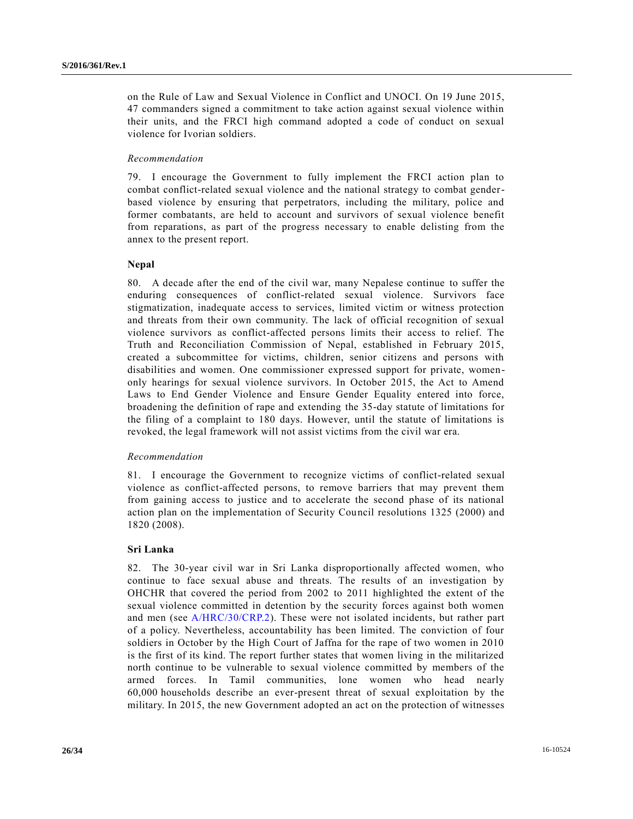on the Rule of Law and Sexual Violence in Conflict and UNOCI. On 19 June 2015, 47 commanders signed a commitment to take action against sexual violence within their units, and the FRCI high command adopted a code of conduct on sexual violence for Ivorian soldiers.

### *Recommendation*

79. I encourage the Government to fully implement the FRCI action plan to combat conflict-related sexual violence and the national strategy to combat genderbased violence by ensuring that perpetrators, including the military, police and former combatants, are held to account and survivors of sexual violence benefit from reparations, as part of the progress necessary to enable delisting from the annex to the present report.

### **Nepal**

80. A decade after the end of the civil war, many Nepalese continue to suffer the enduring consequences of conflict-related sexual violence. Survivors face stigmatization, inadequate access to services, limited victim or witness protection and threats from their own community. The lack of official recognition of sexual violence survivors as conflict-affected persons limits their access to relief. The Truth and Reconciliation Commission of Nepal, established in February 2015, created a subcommittee for victims, children, senior citizens and persons with disabilities and women. One commissioner expressed support for private, womenonly hearings for sexual violence survivors. In October 2015, the Act to Amend Laws to End Gender Violence and Ensure Gender Equality entered into force, broadening the definition of rape and extending the 35-day statute of limitations for the filing of a complaint to 180 days. However, until the statute of limitations is revoked, the legal framework will not assist victims from the civil war era.

### *Recommendation*

81. I encourage the Government to recognize victims of conflict-related sexual violence as conflict-affected persons, to remove barriers that may prevent them from gaining access to justice and to accelerate the second phase of its national action plan on the implementation of Security Council resolutions 1325 (2000) and 1820 (2008).

## **Sri Lanka**

82. The 30-year civil war in Sri Lanka disproportionally affected women, who continue to face sexual abuse and threats. The results of an investigation by OHCHR that covered the period from 2002 to 2011 highlighted the extent of the sexual violence committed in detention by the security forces against both women and men (see [A/HRC/30/CRP.2\)](http://undocs.org/A/HRC/30/CRP.2). These were not isolated incidents, but rather part of a policy. Nevertheless, accountability has been limited. The conviction of four soldiers in October by the High Court of Jaffna for the rape of two women in 2010 is the first of its kind. The report further states that women living in the militarized north continue to be vulnerable to sexual violence committed by members of the armed forces. In Tamil communities, lone women who head nearly 60,000 households describe an ever-present threat of sexual exploitation by the military. In 2015, the new Government adopted an act on the protection of witnesses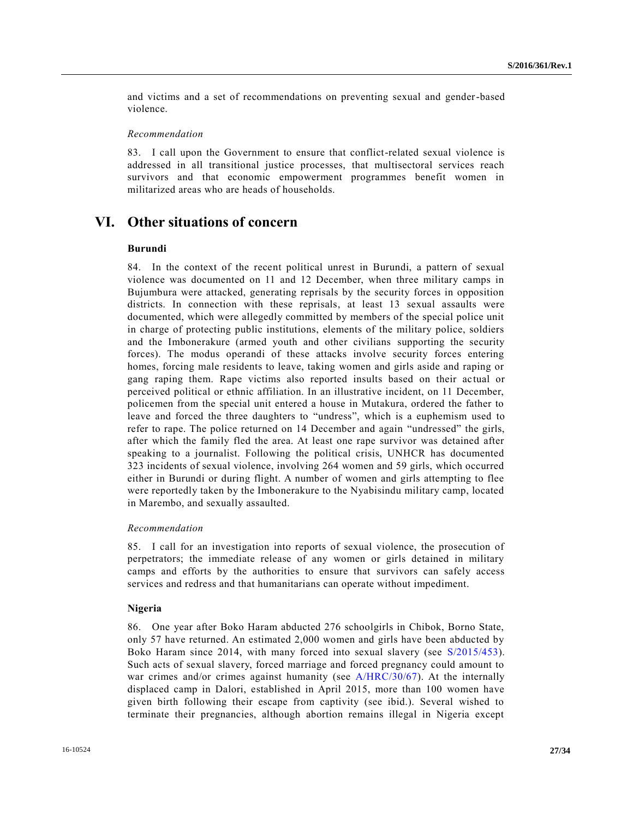and victims and a set of recommendations on preventing sexual and gender-based violence.

### *Recommendation*

83. I call upon the Government to ensure that conflict-related sexual violence is addressed in all transitional justice processes, that multisectoral services reach survivors and that economic empowerment programmes benefit women in militarized areas who are heads of households.

## **VI. Other situations of concern**

### **Burundi**

84. In the context of the recent political unrest in Burundi, a pattern of sexual violence was documented on 11 and 12 December, when three military camps in Bujumbura were attacked, generating reprisals by the security forces in opposition districts. In connection with these reprisals, at least 13 sexual assaults were documented, which were allegedly committed by members of the special police unit in charge of protecting public institutions, elements of the military police, soldiers and the Imbonerakure (armed youth and other civilians supporting the security forces). The modus operandi of these attacks involve security forces entering homes, forcing male residents to leave, taking women and girls aside and raping or gang raping them. Rape victims also reported insults based on their ac tual or perceived political or ethnic affiliation. In an illustrative incident, on 11 December, policemen from the special unit entered a house in Mutakura, ordered the father to leave and forced the three daughters to "undress", which is a euphemism used to refer to rape. The police returned on 14 December and again "undressed" the girls, after which the family fled the area. At least one rape survivor was detained after speaking to a journalist. Following the political crisis, UNHCR has documented 323 incidents of sexual violence, involving 264 women and 59 girls, which occurred either in Burundi or during flight. A number of women and girls attempting to flee were reportedly taken by the Imbonerakure to the Nyabisindu military camp, located in Marembo, and sexually assaulted.

### *Recommendation*

85. I call for an investigation into reports of sexual violence, the prosecution of perpetrators; the immediate release of any women or girls detained in military camps and efforts by the authorities to ensure that survivors can safely access services and redress and that humanitarians can operate without impediment.

## **Nigeria**

86. One year after Boko Haram abducted 276 schoolgirls in Chibok, Borno State, only 57 have returned. An estimated 2,000 women and girls have been abducted by Boko Haram since 2014, with many forced into sexual slavery (see [S/2015/453\)](http://undocs.org/S/2015/453). Such acts of sexual slavery, forced marriage and forced pregnancy could amount to war crimes and/or crimes against humanity (see [A/HRC/30/67\)](http://undocs.org/A/HRC/30/67). At the internally displaced camp in Dalori, established in April 2015, more than 100 women have given birth following their escape from captivity (see ibid.). Several wished to terminate their pregnancies, although abortion remains illegal in Nigeria except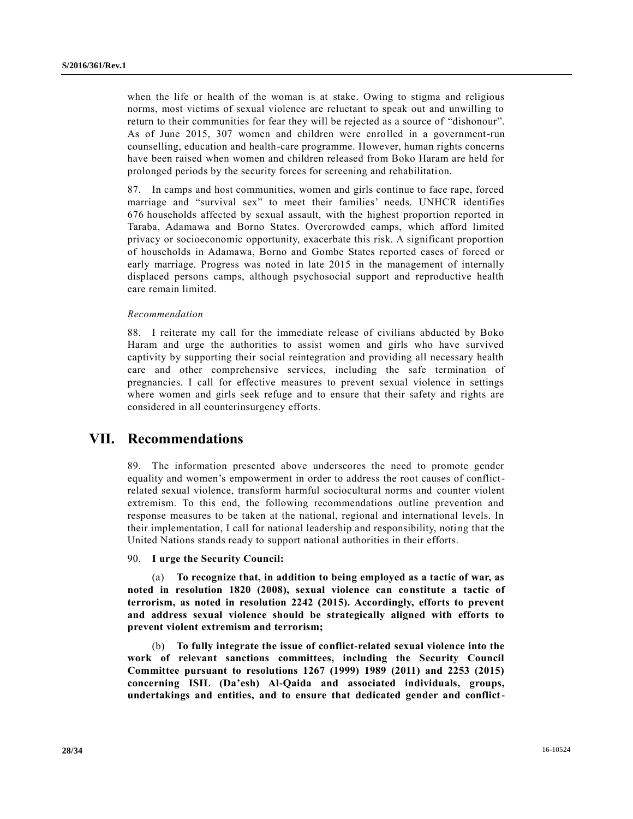when the life or health of the woman is at stake. Owing to stigma and religious norms, most victims of sexual violence are reluctant to speak out and unwilling to return to their communities for fear they will be rejected as a source of "dishonour". As of June 2015, 307 women and children were enrolled in a government-run counselling, education and health-care programme. However, human rights concerns have been raised when women and children released from Boko Haram are held for prolonged periods by the security forces for screening and rehabilitation.

87. In camps and host communities, women and girls continue to face rape, forced marriage and "survival sex" to meet their families' needs. UNHCR identifies 676 households affected by sexual assault, with the highest proportion reported in Taraba, Adamawa and Borno States. Overcrowded camps, which afford limited privacy or socioeconomic opportunity, exacerbate this risk. A significant proportion of households in Adamawa, Borno and Gombe States reported cases of forced or early marriage. Progress was noted in late 2015 in the management of internally displaced persons camps, although psychosocial support and reproductive health care remain limited.

### *Recommendation*

88. I reiterate my call for the immediate release of civilians abducted by Boko Haram and urge the authorities to assist women and girls who have survived captivity by supporting their social reintegration and providing all necessary health care and other comprehensive services, including the safe termination of pregnancies. I call for effective measures to prevent sexual violence in settings where women and girls seek refuge and to ensure that their safety and rights are considered in all counterinsurgency efforts.

## **VII. Recommendations**

89. The information presented above underscores the need to promote gender equality and women's empowerment in order to address the root causes of conflictrelated sexual violence, transform harmful sociocultural norms and counter violent extremism. To this end, the following recommendations outline prevention and response measures to be taken at the national, regional and international levels. In their implementation, I call for national leadership and responsibility, noting that the United Nations stands ready to support national authorities in their efforts.

90. **I urge the Security Council:**

(a) **To recognize that, in addition to being employed as a tactic of war, as noted in resolution 1820 (2008), sexual violence can constitute a tactic of terrorism, as noted in resolution 2242 (2015). Accordingly, efforts to prevent and address sexual violence should be strategically aligned with efforts to prevent violent extremism and terrorism;**

(b) **To fully integrate the issue of conflict-related sexual violence into the work of relevant sanctions committees, including the Security Council Committee pursuant to resolutions 1267 (1999) 1989 (2011) and 2253 (2015) concerning ISIL (Da'esh) Al-Qaida and associated individuals, groups, undertakings and entities, and to ensure that dedicated gender and conflict-**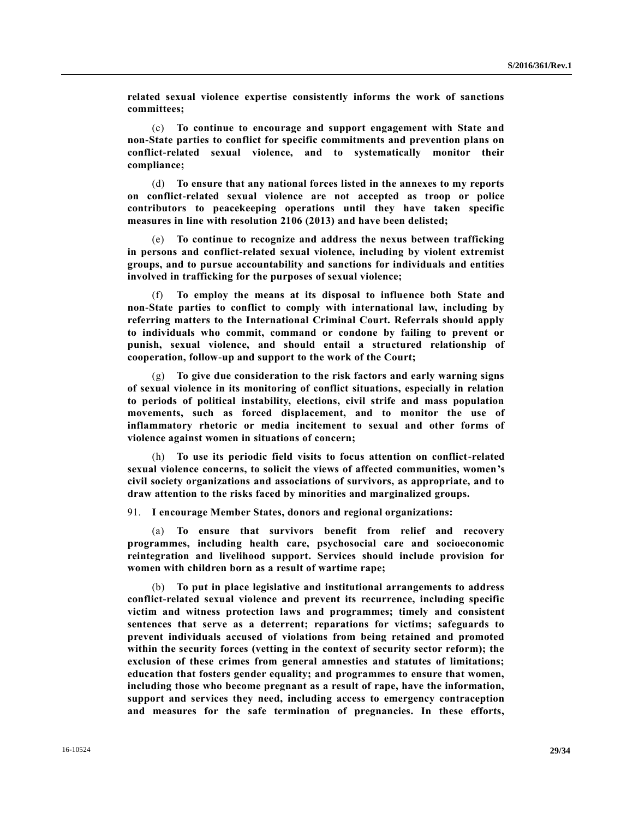**related sexual violence expertise consistently informs the work of sanctions committees;**

(c) **To continue to encourage and support engagement with State and non-State parties to conflict for specific commitments and prevention plans on conflict-related sexual violence, and to systematically monitor their compliance;**

(d) **To ensure that any national forces listed in the annexes to my reports on conflict-related sexual violence are not accepted as troop or police contributors to peacekeeping operations until they have taken specific measures in line with resolution 2106 (2013) and have been delisted;**

(e) **To continue to recognize and address the nexus between trafficking in persons and conflict-related sexual violence, including by violent extremist groups, and to pursue accountability and sanctions for individuals and entities involved in trafficking for the purposes of sexual violence;**

(f) **To employ the means at its disposal to influence both State and non-State parties to conflict to comply with international law, including by referring matters to the International Criminal Court. Referrals should apply to individuals who commit, command or condone by failing to prevent or punish, sexual violence, and should entail a structured relationship of cooperation, follow-up and support to the work of the Court;** 

(g) **To give due consideration to the risk factors and early warning signs of sexual violence in its monitoring of conflict situations, especially in relation to periods of political instability, elections, civil strife and mass population movements, such as forced displacement, and to monitor the use of inflammatory rhetoric or media incitement to sexual and other forms of violence against women in situations of concern;** 

(h) **To use its periodic field visits to focus attention on conflict-related sexual violence concerns, to solicit the views of affected communities, women's civil society organizations and associations of survivors, as appropriate, and to draw attention to the risks faced by minorities and marginalized groups.** 

91. **I encourage Member States, donors and regional organizations:**

(a) **To ensure that survivors benefit from relief and recovery programmes, including health care, psychosocial care and socioeconomic reintegration and livelihood support. Services should include provision for women with children born as a result of wartime rape;** 

(b) **To put in place legislative and institutional arrangements to address conflict-related sexual violence and prevent its recurrence, including specific victim and witness protection laws and programmes; timely and consistent sentences that serve as a deterrent; reparations for victims; safeguards to prevent individuals accused of violations from being retained and promoted within the security forces (vetting in the context of security sector reform); the exclusion of these crimes from general amnesties and statutes of limitations; education that fosters gender equality; and programmes to ensure that women, including those who become pregnant as a result of rape, have the information, support and services they need, including access to emergency contraception and measures for the safe termination of pregnancies. In these efforts,**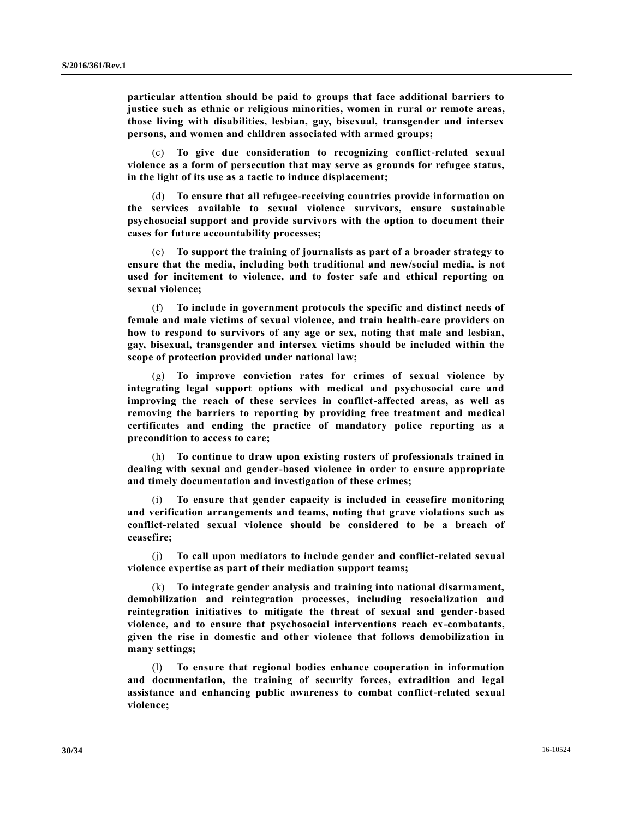**particular attention should be paid to groups that face additional barriers to justice such as ethnic or religious minorities, women in rural or remote areas, those living with disabilities, lesbian, gay, bisexual, transgender and intersex persons, and women and children associated with armed groups;**

(c) **To give due consideration to recognizing conflict-related sexual violence as a form of persecution that may serve as grounds for refugee status, in the light of its use as a tactic to induce displacement;**

(d) **To ensure that all refugee-receiving countries provide information on the services available to sexual violence survivors, ensure sustainable psychosocial support and provide survivors with the option to document their cases for future accountability processes;**

(e) **To support the training of journalists as part of a broader strategy to ensure that the media, including both traditional and new/social media, is not used for incitement to violence, and to foster safe and ethical reporting on sexual violence;**

(f) **To include in government protocols the specific and distinct needs of female and male victims of sexual violence, and train health-care providers on how to respond to survivors of any age or sex, noting that male and lesbian, gay, bisexual, transgender and intersex victims should be included within the scope of protection provided under national law;**

(g) **To improve conviction rates for crimes of sexual violence by integrating legal support options with medical and psychosocial care and improving the reach of these services in conflict-affected areas, as well as removing the barriers to reporting by providing free treatment and medical certificates and ending the practice of mandatory police reporting as a precondition to access to care;**

(h) **To continue to draw upon existing rosters of professionals trained in dealing with sexual and gender-based violence in order to ensure appropriate and timely documentation and investigation of these crimes;**

(i) **To ensure that gender capacity is included in ceasefire monitoring and verification arrangements and teams, noting that grave violations such as conflict-related sexual violence should be considered to be a breach of ceasefire;** 

(j) **To call upon mediators to include gender and conflict-related sexual violence expertise as part of their mediation support teams;**

(k) **To integrate gender analysis and training into national disarmament, demobilization and reintegration processes, including resocialization and reintegration initiatives to mitigate the threat of sexual and gender-based violence, and to ensure that psychosocial interventions reach ex-combatants, given the rise in domestic and other violence that follows demobilization in many settings;**

(l) **To ensure that regional bodies enhance cooperation in information and documentation, the training of security forces, extradition and legal assistance and enhancing public awareness to combat conflict-related sexual violence;**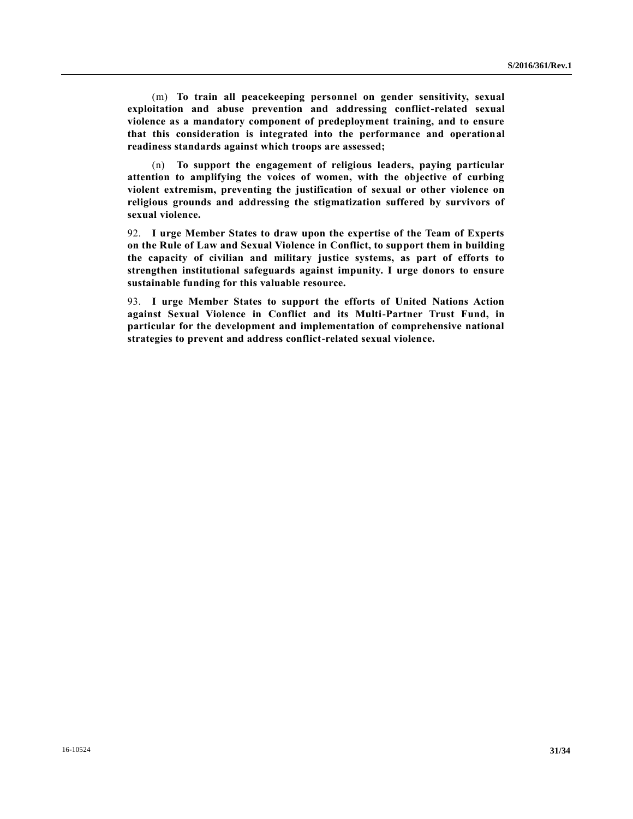(m) **To train all peacekeeping personnel on gender sensitivity, sexual exploitation and abuse prevention and addressing conflict-related sexual violence as a mandatory component of predeployment training, and to ensure that this consideration is integrated into the performance and operational readiness standards against which troops are assessed;** 

(n) **To support the engagement of religious leaders, paying particular attention to amplifying the voices of women, with the objective of curbing violent extremism, preventing the justification of sexual or other violence on religious grounds and addressing the stigmatization suffered by survivors of sexual violence.**

92. **I urge Member States to draw upon the expertise of the Team of Experts on the Rule of Law and Sexual Violence in Conflict, to support them in building the capacity of civilian and military justice systems, as part of efforts to strengthen institutional safeguards against impunity. I urge donors to ensure sustainable funding for this valuable resource.** 

93. **I urge Member States to support the efforts of United Nations Action against Sexual Violence in Conflict and its Multi-Partner Trust Fund, in particular for the development and implementation of comprehensive national strategies to prevent and address conflict-related sexual violence.**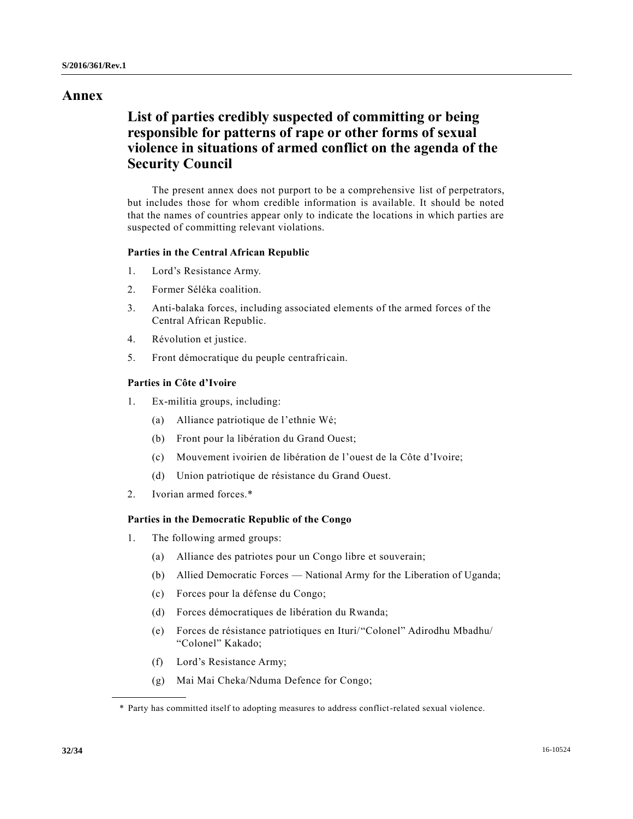## **Annex**

# **List of parties credibly suspected of committing or being responsible for patterns of rape or other forms of sexual violence in situations of armed conflict on the agenda of the Security Council**

The present annex does not purport to be a comprehensive list of perpetrators, but includes those for whom credible information is available. It should be noted that the names of countries appear only to indicate the locations in which parties are suspected of committing relevant violations.

## **Parties in the Central African Republic**

- 1. Lord's Resistance Army.
- 2. Former Séléka coalition.
- 3. Anti-balaka forces, including associated elements of the armed forces of the Central African Republic.
- 4. Révolution et justice.
- 5. Front démocratique du peuple centrafricain.

## **Parties in Côte d'Ivoire**

- 1. Ex-militia groups, including:
	- (a) Alliance patriotique de l'ethnie Wé;
	- (b) Front pour la libération du Grand Ouest;
	- (c) Mouvement ivoirien de libération de l'ouest de la Côte d'Ivoire;
	- (d) Union patriotique de résistance du Grand Ouest.
- 2. Ivorian armed forces.\*

## **Parties in the Democratic Republic of the Congo**

- 1. The following armed groups:
	- (a) Alliance des patriotes pour un Congo libre et souverain;
	- (b) Allied Democratic Forces National Army for the Liberation of Uganda;
	- (c) Forces pour la défense du Congo;
	- (d) Forces démocratiques de libération du Rwanda;
	- (e) Forces de résistance patriotiques en Ituri/"Colonel" Adirodhu Mbadhu/ "Colonel" Kakado;
	- (f) Lord's Resistance Army;
	- (g) Mai Mai Cheka/Nduma Defence for Congo;

<sup>\*</sup> Party has committed itself to adopting measures to address conflict-related sexual violence.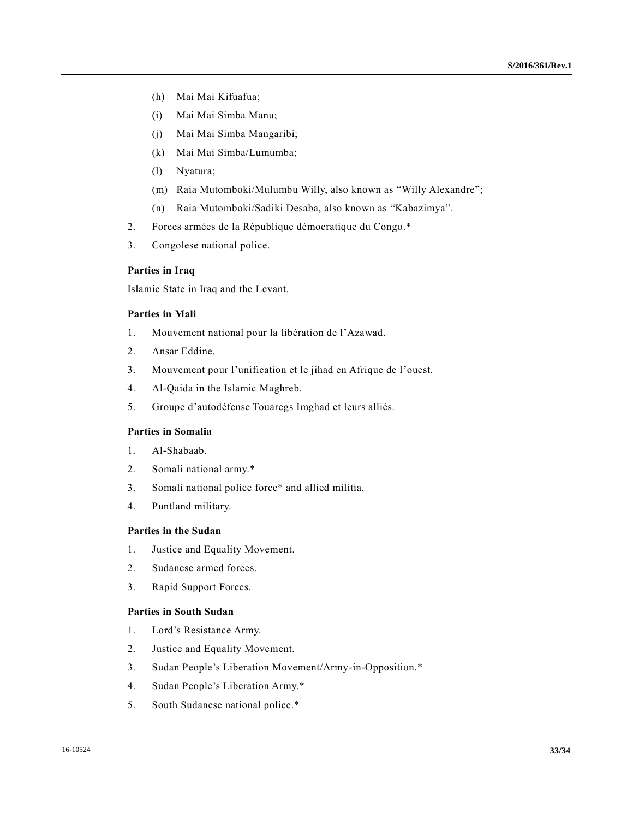- (h) Mai Mai Kifuafua;
- (i) Mai Mai Simba Manu;
- (j) Mai Mai Simba Mangaribi;
- (k) Mai Mai Simba/Lumumba;
- (l) Nyatura;
- (m) Raia Mutomboki/Mulumbu Willy, also known as "Willy Alexandre";
- (n) Raia Mutomboki/Sadiki Desaba, also known as "Kabazimya".
- 2. Forces armées de la République démocratique du Congo.\*
- 3. Congolese national police.

## **Parties in Iraq**

Islamic State in Iraq and the Levant.

## **Parties in Mali**

- 1. Mouvement national pour la libération de l'Azawad.
- 2. Ansar Eddine.
- 3. Mouvement pour l'unification et le jihad en Afrique de l'ouest.
- 4. Al-Qaida in the Islamic Maghreb.
- 5. Groupe d'autodéfense Touaregs Imghad et leurs alliés.

## **Parties in Somalia**

- 1. Al-Shabaab.
- 2. Somali national army.\*
- 3. Somali national police force\* and allied militia.
- 4. Puntland military.

## **Parties in the Sudan**

- 1. Justice and Equality Movement.
- 2. Sudanese armed forces.
- 3. Rapid Support Forces.

## **Parties in South Sudan**

- 1. Lord's Resistance Army.
- 2. Justice and Equality Movement.
- 3. Sudan People's Liberation Movement/Army-in-Opposition.\*
- 4. Sudan People's Liberation Army.\*
- 5. South Sudanese national police.\*